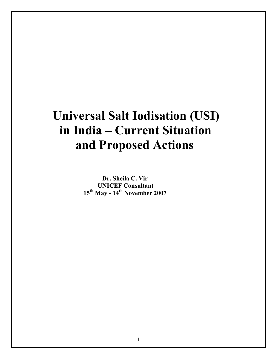# Universal Salt Iodisation (USI) in India – Current Situation and Proposed Actions

 Dr. Sheila C. Vir UNICEF Consultant 15th May - 14th November 2007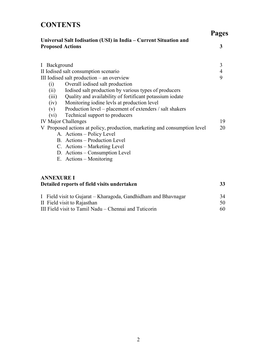# **CONTENTS**

Pages

|                         |                                                                           | <b>Page</b>    |
|-------------------------|---------------------------------------------------------------------------|----------------|
| <b>Proposed Actions</b> | Universal Salt Iodisation (USI) in India – Current Situation and          | 3              |
| I Background            |                                                                           | 3              |
|                         | II Iodised salt consumption scenario                                      | $\overline{4}$ |
|                         | III Iodised salt production - an overview                                 | 9              |
| (i)                     | Overall iodised salt production                                           |                |
| (ii)                    | Iodised salt production by various types of producers                     |                |
| (iii)                   | Quality and availability of fortificant potassium iodate                  |                |
| (iv)                    | Monitoring iodine levls at production level                               |                |
| (v)                     | Production level – placement of extenders / salt shakers                  |                |
| (vi)                    | Technical support to producers                                            |                |
|                         | <b>IV Major Challenges</b>                                                | 19             |
|                         | V Proposed actions at policy, production, marketing and consumption level | 20             |
|                         | A. Actions - Policy Level                                                 |                |
|                         | B. Actions - Production Level                                             |                |
|                         | C. Actions – Marketing Level                                              |                |
|                         | D. Actions – Consumption Level                                            |                |
|                         | E. Actions – Monitoring                                                   |                |
|                         |                                                                           |                |
| <b>ANNEXURE I</b>       |                                                                           |                |
|                         | Detailed reports of field visits undertaken                               | 33             |
|                         |                                                                           |                |
|                         |                                                                           |                |

| I Field visit to Gujarat – Kharagoda, Gandhidham and Bhavnagar | 34 |
|----------------------------------------------------------------|----|
| II Field visit to Rajasthan                                    |    |
| III Field visit to Tamil Nadu – Chennai and Tuticorin          | 60 |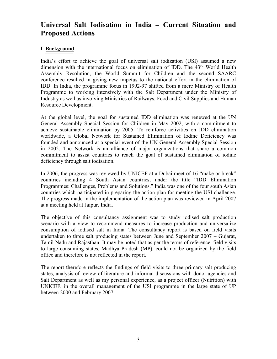## Universal Salt Iodisation in India – Current Situation and Proposed Actions

#### I Background

India's effort to achieve the goal of universal salt iodization (USI) assumed a new dimension with the international focus on elimination of IDD. The 43<sup>rd</sup> World Health Assembly Resolution, the World Summit for Children and the second SAARC conference resulted in giving new impetus to the national effort in the elimination of IDD. In India, the programme focus in 1992-97 shifted from a mere Ministry of Health Programme to working intensively with the Salt Department under the Ministry of Industry as well as involving Ministries of Railways, Food and Civil Supplies and Human Resource Development.

At the global level, the goal for sustained IDD elimination was renewed at the UN General Assembly Special Session for Children in May 2002, with a commitment to achieve sustainable elimination by 2005. To reinforce activities on IDD elimination worldwide, a Global Network for Sustained Elimination of Iodine Deficiency was founded and announced at a special event of the UN General Assembly Special Session in 2002. The Network is an alliance of major organizations that share a common commitment to assist countries to reach the goal of sustained elimination of iodine deficiency through salt iodisation.

In 2006, the progress was reviewed by UNICEF at a Dubai meet of 16 "make or break" countries including 4 South Asian countries, under the title "IDD Elimination Programmes: Challenges, Problems and Solutions." India was one of the four south Asian countries which participated in preparing the action plan for meeting the USI challenge. The progress made in the implementation of the action plan was reviewed in April 2007 at a meeting held at Jaipur, India.

The objective of this consultancy assignment was to study iodised salt production scenario with a view to recommend measures to increase production and universalize consumption of iodised salt in India. The consultancy report is based on field visits undertaken to three salt producing states between June and September 2007 – Gujarat, Tamil Nadu and Rajasthan. It may be noted that as per the terms of reference, field visits to large consuming states, Madhya Pradesh (MP), could not be organized by the field office and therefore is not reflected in the report.

The report therefore reflects the findings of field visits to three primary salt producing states, analysis of review of literature and informal discussions with donor agencies and Salt Department as well as my personal experience, as a project officer (Nutrition) with UNICEF, in the overall management of the USI programme in the large state of UP between 2000 and February 2007.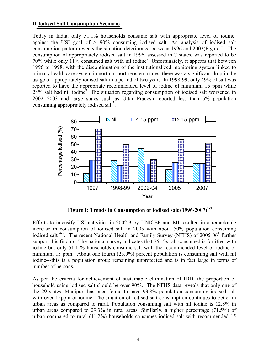#### II Iodised Salt Consumption Scenario

Today in India, only 51.1% households consume salt with appropriate level of iodine<sup>1</sup> against the USI goal of > 90% consuming iodised salt. An analysis of iodised salt consumption pattern reveals the situation deteriorated between 1996 and 2002(Figure I). The consumption of appropriately iodised salt in 1996, assessed in 7 states, was reported to be 70% while only 11% consumed salt with nil iodine2 . Unfortunately, it appears that between 1996 to 1998, with the discontinuation of the institutionalized monitoring system linked to primary health care system in north or north eastern states, there was a significant drop in the usage of appropriately iodised salt in a period of two years. In 1998-99, only 49% of salt was reported to have the appropriate recommended level of iodine of minimum 15 ppm while  $28\%$  salt had nil iodine<sup>3</sup>. The situation regarding consumption of iodised salt worsened in 2002--2003 and large states such as Uttar Pradesh reported less than 5% population consuming appropriately iodised salt<sup>5</sup>.



Figure I: Trends in Consumption of Iodised salt  $(1996-2007)^{1.5}$ 

Efforts to intensify USI activities in 2002-3 by UNICEF and MI resulted in a remarkable increase in consumption of iodised salt in 2005 with about 50% population consuming iodised salt<sup>4-5</sup>. The recent National Health and Family Survey (NFHS) of 2005-06<sup>1</sup> further support this finding. The national survey indicates that 76.1% salt consumed is fortified with iodine but only 51.1 % households consume salt with the recommended level of iodine of minimum 15 ppm. About one fourth (23.9%) percent population is consuming salt with nil iodine---this is a population group remaining unprotected and is in fact large in terms of number of persons.

As per the criteria for achievement of sustainable elimination of IDD, the proportion of household using iodised salt should be over 90%. The NFHS data reveals that only one of the 29 states--Manipur--has been found to have 93.8% population consuming iodised salt with over 15ppm of iodine. The situation of iodised salt consumption continues to better in urban areas as compared to rural. Population consuming salt with nil iodine is 12.8% in urban areas compared to 29.3% in rural areas. Similarly, a higher percentage (71.5%) of urban compared to rural (41.2%) households consumes iodised salt with recommended 15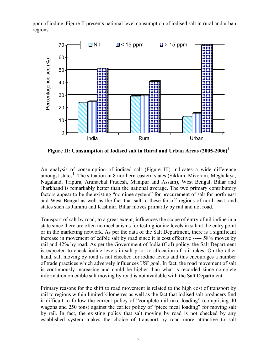ppm of iodine. Figure II presents national level consumption of iodised salt in rural and urban regions.



Figure II: Consumption of Iodised salt in Rural and Urban Areas  $(2005-2006)^1$ 

An analysis of consumption of iodised salt (Figure III) indicates a wide difference amongst states<sup>1</sup>. The situation in 8 northern-eastern states (Sikkim, Mizoram, Meghalaya, Nagaland, Tripura, Arunachal Pradesh, Manipur and Assam), West Bengal, Bihar and Jharkhand is remarkably better than the national average. The two primary contributory factors appear to be the existing "nominee system" for procurement of salt for north east and West Bengal as well as the fact that salt to these far off regions of north east, and states such as Jammu and Kashmir, Bihar moves primarily by rail and not road.

Transport of salt by road, to a great extent, influences the scope of entry of nil iodine in a state since there are often no mechanisms for testing iodine levels in salt at the entry point or in the marketing network. As per the data of the Salt Department, there is a significant increase in movement of edible salt by road since it is cost effective ----- 58% moves by rail and 42% by road. As per the Government of India (GoI) policy, the Salt Department is expected to check iodine levels in salt prior to allocation of rail rakes. On the other hand, salt moving by road is not checked for iodine levels and this encourages a number of trade practices which adversely influences USI goal. In fact, the road movement of salt is continuously increasing and could be higher than what is recorded since complete information on edible salt moving by road is not available with the Salt Department.

Primary reasons for the shift to road movement is related to the high cost of transport by rail to regions within limited kilometres as well as the fact that iodised salt producers find it difficult to follow the current policy of "complete rail rake loading" (comprising 40 wagons and 250 tons) against the earlier policy of "piece meal loading" for moving salt by rail. In fact, the existing policy that salt moving by road is not checked by any established system makes the choice of transport by road more attractive to salt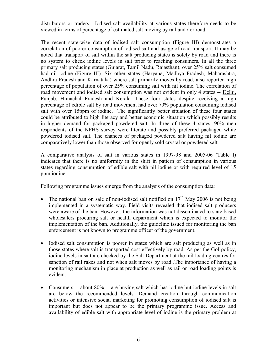distributors or traders. Iodised salt availability at various states therefore needs to be viewed in terms of percentage of estimated salt moving by rail and / or road.

The recent state-wise data of iodised salt consumption (Figure III) demonstrates a correlation of poorer consumption of iodised salt and usage of road transport. It may be noted that transport of salt within the salt producing states is solely by road and there is no system to check iodine levels in salt prior to reaching consumers. In all the three primary salt producing states (Gujarat, Tamil Nadu, Rajasthan), over 25% salt consumed had nil iodine (Figure III). Six other states (Haryana, Madhya Pradesh, Maharashtra, Andhra Pradesh and Karnataka) where salt primarily moves by road, also reported high percentage of population of over 25% consuming salt with nil iodine. The correlation of road movement and iodised salt consumption was not evident in only 4 states -- Delhi, Punjab, Himachal Pradesh and Kerala. These four states despite receiving a high percentage of edible salt by road movement had over 70% population consuming iodised salt with over 15ppm of iodine. The significantly better situation of these four states could be attributed to high literacy and better economic situation which possibly results in higher demand for packaged powdered salt. In three of these 4 states, 90% men respondents of the NFHS survey were literate and possibly preferred packaged white powdered iodised salt. The chances of packaged powdered salt having nil iodine are comparatively lower than those observed for openly sold crystal or powdered salt.

A comparative analysis of salt in various states in 1997-98 and 2005-06 (Table I) indicates that there is no uniformity in the shift in pattern of consumption in various states regarding consumption of edible salt with nil iodine or with required level of 15 ppm iodine.

Following programme issues emerge from the analysis of the consumption data:

- The national ban on sale of non-iodised salt notified on  $17<sup>th</sup>$  May 2006 is not being implemented in a systematic way. Field visits revealed that iodised salt producers were aware of the ban. However, the information was not disseminated to state based wholesalers procuring salt or health department which is expected to monitor the implementation of the ban. Additionally, the guideline issued for monitoring the ban enforcement is not known to programme officer of the government.
- Iodised salt consumption is poorer in states which are salt producing as well as in those states where salt is transported cost-effectively by road. As per the GoI policy, iodine levels in salt are checked by the Salt Department at the rail loading centres for sanction of rail rakes and not when salt moves by road .The importance of having a monitoring mechanism in place at production as well as rail or road loading points is evident.
- Consumers ---about 80% ---are buying salt which has iodine but iodine levels in salt are below the recommended levels. Demand creation through communication activities or intensive social marketing for promoting consumption of iodised salt is important but does not appear to be the primary programme issue. Access and availability of edible salt with appropriate level of iodine is the primary problem at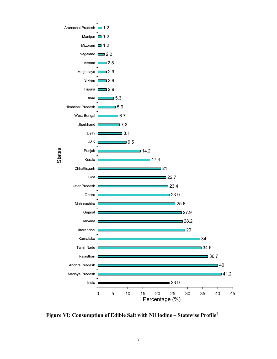

Figure VI: Consumption of Edible Salt with Nil Iodine – Statewise Profile1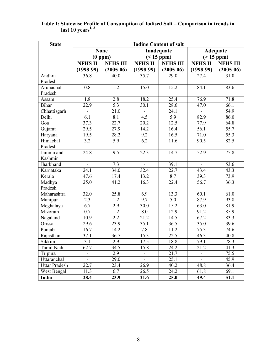| <b>State</b>         | <b>Iodine Content of salt</b> |                  |                          |                   |                   |                 |  |  |
|----------------------|-------------------------------|------------------|--------------------------|-------------------|-------------------|-----------------|--|--|
|                      |                               | <b>None</b>      | Inadequate               |                   | <b>Adequate</b>   |                 |  |  |
|                      |                               | (0 ppm)          | $(< 15$ ppm $)$          |                   | $(>15$ ppm $)$    |                 |  |  |
|                      | <b>NFHS II</b>                | <b>NFHS III</b>  | <b>NFHS II</b>           | <b>NFHS III</b>   | <b>NFHS II</b>    | <b>NFHS III</b> |  |  |
|                      | $(1998-99)$                   | $(2005-06)$      | $(1998-99)$              | $(2005-06)$       | $(1998-99)$       | $(2005-06)$     |  |  |
| Andhra               | 36.8                          | 40.0             | 35.7                     | 29.0              | 27.4              | 31.0            |  |  |
| Pradesh              |                               |                  |                          |                   |                   |                 |  |  |
| Arunachal            | 0.8                           | 1.2              | 15.0                     | 15.2              | 84.1              | 83.6            |  |  |
| Pradesh              |                               |                  |                          |                   |                   |                 |  |  |
| Assam                | 1.8                           | 2.8              | 18.2                     | 25.4              | 76.9              | 71.8            |  |  |
| <b>Bihar</b>         | 22.9                          | 5.3              | 30.1                     | 28.6              | 47.0              | 66.1            |  |  |
| Chhattisgarh         | $\qquad \qquad \blacksquare$  | 21.0             | $\overline{\phantom{0}}$ | 24.1              | $\blacksquare$    | 54.9            |  |  |
| Delhi                | 6.1                           | 8.1              | 4.5                      | 5.9               | 82.9              | 86.0            |  |  |
| Goa                  | 37.3                          | 22.7             | 20.2                     | $12.\overline{5}$ | 77.9              | 64.8            |  |  |
| Gujarat              | 29.5                          | 27.9             | 14.2                     | 16.4              | 56.1              | 55.7            |  |  |
| Haryana              | 19.5                          | 28.2             | $9.2\,$                  | 16.5              | 71.0              | 55.3            |  |  |
| Himachal             | 3.2                           | 5.9              | 6.2                      | 11.6              | 90.5              | 82.5            |  |  |
| Pradesh              |                               |                  |                          |                   |                   |                 |  |  |
| Jammu and            | 24.8                          | 9.5              | 22.3                     | 14.7              | 52.9              | 75.8            |  |  |
| Kashmir              |                               |                  |                          |                   |                   |                 |  |  |
| Jharkhand            |                               | 7.3              |                          | 39.1              |                   | 53.6            |  |  |
| Karnataka            | 24.1                          | 34.0             | 32.4                     | 22.7              | $\overline{43.4}$ | 43.3            |  |  |
| Kerala               | 47.6                          | 17.4             | 13.2                     | 8.7               | 39.3              | 73.9            |  |  |
| Madhya               | 25.0                          | 41.2             | 16.3                     | 22.4              | 56.7              | 36.3            |  |  |
| Pradesh              |                               |                  |                          |                   |                   |                 |  |  |
| Maharashtra          | 32.0                          | 25.8             | 6.9                      | 13.3              | 60.1              | 61.0            |  |  |
| Manipur              | $\overline{2.3}$              | $\overline{1.2}$ | $\overline{9.7}$         | 5.0               | 87.9              | 93.8            |  |  |
| Meghalaya            | 6.7                           | 2.9              | 30.0                     | 15.2              | 63.0              | 81.9            |  |  |
| Mizoram              | 0.7                           | 1.2              | 8.0                      | 12.9              | 91.2              | 85.9            |  |  |
| Nagaland             | 10.9                          | 2.2              | 21.2                     | 14.5              | 67.2              | 83.3            |  |  |
| Orissa               | 29.6                          | 23.9             | 35.1                     | 36.5              | 35.0              | 39.6            |  |  |
| Punjab               | 16.7                          | 14.2             | 7.8                      | 11.2              | 75.3              | 74.6            |  |  |
| Rajasthan            | 37.1                          | 36.7             | 15.3                     | 22.5              | 46.3              | 40.8            |  |  |
| Sikkim               | $\overline{3.1}$              | 2.9              | 17.5                     | 18.8              | 79.1              | 78.3            |  |  |
| Tamil Nadu           | 62.7                          | 34.5             | 15.8                     | 24.2              | 21.2              | 41.3            |  |  |
| Tripura              | -                             | 2.9              | $\overline{\phantom{0}}$ | 21.7              | -                 | 75.5            |  |  |
| Uttaranchal          | $\overline{\phantom{0}}$      | 29.0             | $\overline{\phantom{0}}$ | 25.1              | $\blacksquare$    | 45.9            |  |  |
| <b>Uttar Pradesh</b> | 22.7                          | 23.4             | 26.9                     | 40.2              | 48.8              | 36.4            |  |  |
| West Bengal          | 11.3                          | 6.7              | 26.5                     | 24.2              | 61.8              | 69.1            |  |  |
| India                | 28.4                          | 23.9             | 21.6                     | 25.0              | 49.4              | 51.1            |  |  |

#### Table I: Statewise Profile of Consumption of Iodised Salt – Comparison in trends in last 10 years $^{1,3}$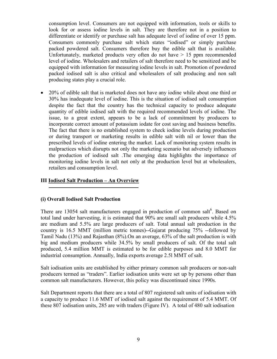consumption level. Consumers are not equipped with information, tools or skills to look for or assess iodine levels in salt. They are therefore not in a position to differentiate or identify or purchase salt has adequate level of iodine of over 15 ppm. Consumers commonly purchase salt which states "iodised" or simply purchase packed powdered salt. Consumers therefore buy the edible salt that is available. Unfortunately, marketed products very often do not have  $> 15$  ppm recommended level of iodine. Wholesalers and retailers of salt therefore need to be sensitized and be equipped with information for measuring iodine levels in salt. Promotion of powdered packed iodised salt is also critical and wholesalers of salt producing and non salt producing states play a crucial role.

• 20% of edible salt that is marketed does not have any iodine while about one third or 30% has inadequate level of iodine. This is the situation of iodised salt consumption despite the fact that the country has the technical capacity to produce adequate quantity of edible iodised salt with the required recommended levels of iodine. The issue, to a great extent, appears to be a lack of commitment by producers to incorporate correct amount of potassium iodate for cost saving and business benefits. The fact that there is no established system to check iodine levels during production or during transport or marketing results in edible salt with nil or lower than the prescribed levels of iodine entering the market. Lack of monitoring system results in malpractices which disrupts not only the marketing scenario but adversely influences the production of iodised salt .The emerging data highlights the importance of monitoring iodine levels in salt not only at the production level but at wholesalers, retailers and consumption level.

#### III Iodised Salt Production – An Overview

#### (i) Overall Iodised Salt Production

There are 13054 salt manufacturers engaged in production of common salt<sup>6</sup>. Based on total land under harvesting, it is estimated that 90% are small salt producers while 4.5% are medium and 5.5% are large producers of salt. Total annual salt production in the country is 16.5 MMT (million metric tonnes)--Gujarat producing 75% --followed by Tamil Nadu (13%) and Rajasthan (8%).On an average, 63% of the salt production is with big and medium producers while 34.5% by small producers of salt. Of the total salt produced, 5.4 million MMT is estimated to be for edible purposes and 8.0 MMT for industrial consumption. Annually, India exports average 2.5l MMT of salt.

Salt iodisation units are established by either primary common salt producers or non-salt producers termed as "traders". Earlier iodisation units were set up by persons other than common salt manufacturers. However, this policy was discontinued since 1990s.

Salt Department reports that there are a total of 807 registered salt units of iodisation with a capacity to produce 11.6 MMT of iodised salt against the requirement of 5.4 MMT. Of these 807 iodisation units, 285 are with traders (Figure IV). A total of 480 salt iodisation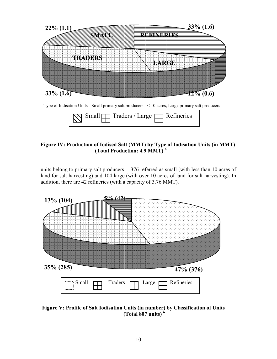

Type of Iodisation Units - Small primary salt producers - < 10 acres, Large primary salt producers -

| $\log$ Small $\ln$ Traders / Large $\log$ Refineries |
|------------------------------------------------------|
|------------------------------------------------------|

#### Figure IV: Production of Iodised Salt (MMT) by Type of Iodisation Units (in MMT) (Total Production: 4.9 MMT) 6

units belong to primary salt producers -- 376 referred as small (with less than 10 acres of land for salt harvesting) and 104 large (with over 10 acres of land for salt harvesting). In addition, there are 42 refineries (with a capacity of 3.76 MMT).



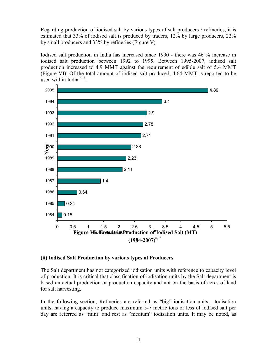Regarding production of iodised salt by various types of salt producers / refineries, it is estimated that 33% of iodised salt is produced by traders, 12% by large producers, 22% by small producers and 33% by refineries (Figure V).

Iodised salt production in India has increased since 1990 - there was 46 % increase in iodised salt production between 1992 to 1995. Between 1995-2007, iodised salt production increased to 4.9 MMT against the requirement of edible salt of 5.4 MMT (Figure VI). Of the total amount of iodised salt produced, 4.64 MMT is reported to be used within India  $6, 7$ .



#### (ii) Iodised Salt Production by various types of Producers

The Salt department has not categorized iodisation units with reference to capacity level of production. It is critical that classification of iodisation units by the Salt department is based on actual production or production capacity and not on the basis of acres of land for salt harvesting.

In the following section, Refineries are referred as "big" iodisation units. Iodisation units, having a capacity to produce maximum 5-7 metric tons or less of iodised salt per day are referred as "mini' and rest as "medium" iodisation units. It may be noted, as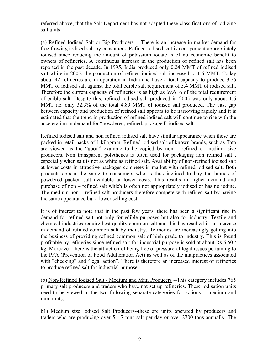referred above, that the Salt Department has not adapted these classifications of iodizing salt units.

(a) Refined Iodised Salt or Big Producers -- There is an increase in market demand for free flowing iodised salt by consumers. Refined iodised salt is cent percent appropriately iodised since reducing the amount of potassium iodate is of no economic benefit to owners of refineries. A continuous increase in the production of refined salt has been reported in the past decade. In 1995, India produced only 0.24 MMT of refined iodised salt while in 2005, the production of refined iodised salt increased to 1.6 MMT. Today about 42 refineries are in operation in India and have a total capacity to produce 3.76 MMT of iodised salt against the total edible salt requirement of 5.4 MMT of iodised salt. Therefore the current capacity of refineries is as high as 69.6 % of the total requirement of edible salt. Despite this, refined iodised salt produced in 2005 was only about 1.6 MMT i.e. only 32.3% of the total 4.89 MMT of iodised salt produced. The vast gap between capacity and production of refined salt appears to be narrowing rapidly and it is estimated that the trend in production of refined iodised salt will continue to rise with the acceleration in demand for "powdered, refined, packaged" iodised salt.

Refined iodised salt and non refined iodised salt have similar appearance when these are packed in retail packs of 1 kilogram. Refined iodised salt of known brands, such as Tata are viewed as the "good" example to be copied by non – refined or medium size producers. Non transparent polythenes is often used for packaging non refined salt , especially when salt is not as white as refined salt. Availability of non-refined iodised salt at lower costs in attractive packages competes in market with refined iodised salt. Both products appear the same to consumers who is thus inclined to buy the brands of powdered packed salt available at lower costs. This results in higher demand and purchase of non – refined salt which is often not appropriately iodised or has no iodine. The medium non – refined salt producers therefore compete with refined salt by having the same appearance but a lower selling cost.

It is of interest to note that in the past few years, there has been a significant rise in demand for refined salt not only for edible purposes but also for industry. Textile and chemical industries require best quality common salt and this has resulted in an increase in demand of refined common salt by industry. Refineries are increasingly getting into the business of providing refined common salt of high grade to industry. This is found profitable by refineries since refined salt for industrial purpose is sold at about Rs 6.50 / kg. Moreover, there is the attraction of being free of pressure of legal issues pertaining to the PFA (Prevention of Food Adulteration Act) as well as of the malpractices associated with "checking" and "legal action". There is therefore an increased interest of refineries to produce refined salt for industrial purpose.

(b) Non-Refined Iodised Salt / Medium and Mini Producers --This category includes 765 primary salt producers and traders who have not set up refineries. These iodisation units need to be viewed in the two following separate categories for actions ---medium and mini units. .

b1) Medium size Iodised Salt Producers--these are units operated by producers and traders who are producing over 5 - 7 tons salt per day or over 2700 tons annually. The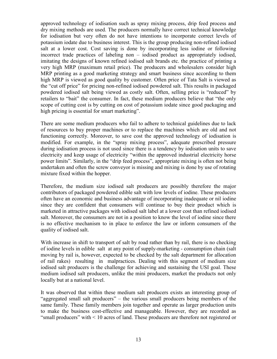approved technology of iodisation such as spray mixing process, drip feed process and dry mixing methods are used. The producers normally have correct technical knowledge for iodisation but very often do not have intentions to incorporate correct levels of potassium iodate due to business interest. This is the group producing non-refined iodised salt at a lower cost. Cost saving is done by incorporating less iodine or following incorrect trade practices of labeling non – iodised product as appropriately iodised, imitating the designs of known refined iodised salt brands etc. the practice of printing a very high MRP (maximum retail price). The producers and wholesalers consider high MRP printing as a good marketing strategy and smart business since according to them high MRP is viewed as good quality by customer. Often price of Tata Salt is viewed as the "cut off price" for pricing non-refined iodised powdered salt. This results in packaged powdered iodised salt being viewed as costly salt. Often, selling price is "reduced" by retailers to "bait" the consumer. In fact, these medium producers believe that "the only scope of cutting cost is by cutting on cost of potassium iodate since good packaging and high pricing is essential for smart marketing".

There are some medium producers who fail to adhere to technical guidelines due to lack of resources to buy proper machines or to replace the machines which are old and not functioning correctly. Moreover, to save cost the approved technology of iodisation is modified. For example, in the "spray mixing process", adequate prescribed pressure during iodisation process is not used since there is a tendency by iodisation units to save electricity and keep usage of electricity "within the approved industrial electricity horse power limits". Similarly, in the "drip feed process", appropriate mixing is often not being undertaken and often the screw conveyor is missing and mixing is done by use of rotating mixture fixed within the hopper.

Therefore, the medium size iodised salt producers are possibly therefore the major contributors of packaged powdered edible salt with low levels of iodine. These producers often have an economic and business advantage of incorporating inadequate or nil iodine since they are confident that consumers will continue to buy their product which is marketed in attractive packages with iodised salt label at a lower cost than refined iodised salt. Moreover, the consumers are not in a position to know the level of iodine since there is no effective mechanism to in place to enforce the law or inform consumers of the quality of iodised salt.

With increase in shift to transport of salt by road rather than by rail, there is no checking of iodine levels in edible salt at any point of supply-marketing - consumption chain (salt moving by rail is, however, expected to be checked by the salt department for allocation of rail rakes) resulting in malpractices. Dealing with this segment of medium size iodised salt producers is the challenge for achieving and sustaining the USI goal. These medium iodised salt producers, unlike the mini producers, market the products not only locally but at a national level.

It was observed that within these medium salt producers exists an interesting group of "aggregated small salt producers" – the various small producers being members of the same family. These family members join together and operate as larger production units to make the business cost-effective and manageable. However, they are recorded as "small producers" with < 10 acres of land. These producers are therefore not registered or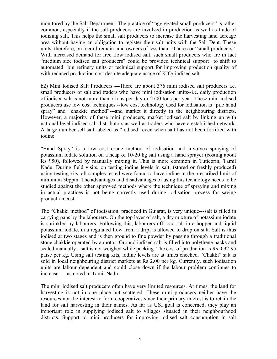monitored by the Salt Department. The practice of "aggregated small producers" is rather common, especially if the salt producers are involved in production as well as trade of iodizing salt. This helps the small salt producers to increase the harvesting land acreage area without having an obligation to register their salt units with the Salt Dept. These units, therefore, on record remain land owners of less than 10 acres or "small producers". With increased demand for free flow iodised salt, such small producers who are in fact "medium size iodised salt producers" could be provided technical support to shift to automated big refinery units or technical support for improving production quality of with reduced production cost despite adequate usage of  $KIO<sub>3</sub>$  iodised salt.

b2) Mini Iodised Salt Producers ---There are about 376 mini iodised salt producers i.e. small producers of salt and traders who have mini iodisation units--i.e. daily production of iodised salt is not more than 7 tons per day or 2700 tons per year. These mini iodised producers use low cost techniques --low cost technology used for iodisation is "pile hand spray" and "chakkie method"---and market it directly in the neighbouring districts. However, a majority of these mini producers, market iodised salt by linking up with national level iodised salt distributors as well as traders who have a established network. A large number sell salt labeled as "iodised" even when salt has not been fortified with iodine.

"Hand Spray" is a low cost crude method of iodisation and involves spraying of potassium iodate solution on a heap of 10-20 kg salt using a hand sprayer (costing about Rs 950), followed by manually mixing it. This is more common in Tuticorin, Tamil Nadu. During field visits, on testing iodine levels in salt, (stored or freshly produced) using testing kits, all samples tested were found to have iodine in the prescribed limit of minimum 30ppm. The advantages and disadvantages of using this technology needs to be studied against the other approved methods where the technique of spraying and mixing in actual practices is not being correctly used during iodisation process for saving production cost.

The "Chakki method" of iodisation, practiced in Gujarat, is very unique---salt is filled in carrying pans by the labourers. On the top layer of salt, a dry mixture of potassium iodate is sprinkled by labourers. Following this, labourers off load salt in a hopper and liquid potassium iodate, in a regulated flow from a drip, is allowed to drop on salt. Salt is thus iodised at two stages and is then ground to fine powder by passing through a traditional stone chakkie operated by a motor. Ground iodised salt is filled into polythene packs and sealed manually --salt is not weighed while packing. The cost of production is Rs 0.92-95 paise per kg. Using salt testing kits, iodine levels are at times checked. "Chakki" salt is sold in local neighbouring district markets at Rs 2.00 per kg. Currently, such iodisation units are labour dependent and could close down if the labour problem continues to increase---- as noted in Tamil Nadu.

The mini iodised salt producers often have very limited resources. At times, the land for harvesting is not in one place but scattered .These mini producers neither have the resources nor the interest to form cooperatives since their primary interest is to retain the land for salt harvesting in their names. As far as USI goal is concerned, they play an important role in supplying iodised salt to villages situated in their neighbourhood districts. Support to mini producers for improving iodised salt consumption in salt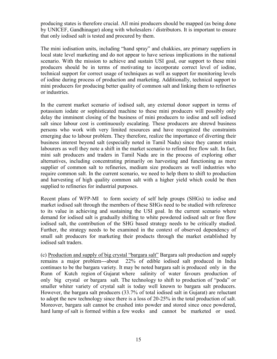producing states is therefore crucial. All mini producers should be mapped (as being done by UNICEF, Gandhinagar) along with wholesalers / distributors. It is important to ensure that only iodised salt is tested and procured by them.

The mini iodisation units, including "hand spray" and chakkies, are primary suppliers in local state level marketing and do not appear to have serious implications in the national scenario. With the mission to achieve and sustain USI goal, our support to these mini producers should be in terms of motivating to incorporate correct level of iodine, technical support for correct usage of techniques as well as support for monitoring levels of iodine during process of production and marketing. Additionally, technical support to mini producers for producing better quality of common salt and linking them to refineries or industries.

In the current market scenario of iodised salt, any external donor support in terms of potassium iodate or sophisticated machine to these mini producers will possibly only delay the imminent closing of the business of mini producers to iodise and sell iodised salt since labour cost is continuously escalating. These producers are shrewd business persons who work with very limited resources and have recognized the constraints emerging due to labour problem. They therefore, realize the importance of diverting their business interest beyond salt (especially noted in Tamil Nadu) since they cannot retain labourers as well they note a shift in the market scenario to refined free flow salt. In fact, mini salt producers and traders in Tamil Nadu are in the process of exploring other alternatives, including concentrating primarily on harvesting and functioning as mere supplier of common salt to refineries, medium size producers as well industries who require common salt. In the current scenario, we need to help them to shift to production and harvesting of high quality common salt with a higher yield which could be then supplied to refineries for industrial purposes.

Recent plans of WFP-MI to form society of self help groups (SHGs) to iodise and market iodised salt through the members of these SHGs need to be studied with reference to its value in achieving and sustaining the USI goal. In the current scenario where demand for iodised salt is gradually shifting to white powdered iodised salt or free flow iodised salt, the contribution of the SHG based strategy needs to be critically studied. Further, the strategy needs to be examined in the context of observed dependency of small salt producers for marketing their products through the market established by iodised salt traders.

(c) Production and supply of big crystal "bargara salt" Bargara salt production and supply remains a major problem---about 22% of edible iodised salt produced in India continues to be the bargara variety. It may be noted bargara salt is produced only in the Runn of Kutch region of Gujarat where salinity of water favours production of only big crystal or bargara salt. The technology to shift to production of "poda" or smaller whiter variety of crystal salt is today well known to bargara salt producers. However, the bargara salt producers (33.7% of total iodised salt in Gujarat) are reluctant to adopt the new technology since there is a loss of 20-25% in the total production of salt. Moreover, bargara salt cannot be crushed into powder and stored since once powdered, hard lump of salt is formed within a few weeks and cannot be marketed or used.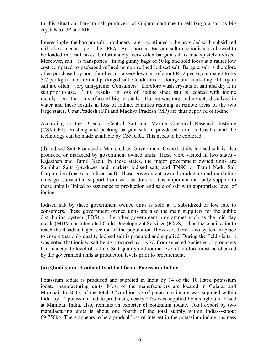In this situation, bargara salt producers of Gujarat continue to sell bargara salt as big crystals to UP and MP.

Interestingly, the bargara salt producers are continued to be provided with subsidized rail rakes since as per the PFA Act norms. Bargara salt once iodised is allowed to be loaded in rail rakes. Unfortunately, very often bargara salt is inadequately iodised. Moreover, salt is transported in big gunny bags of 50 kg and sold loose at a rather low cost compared to packaged refined or non refined iodised salt. Bargara salt is therefore often purchased by poor families at a very low cost of about Rs 2 per kg compared to Rs 5-7 per kg for non-refined packaged salt. Conditions of storage and marketing of bargara salt are often very unhygienic. Consumers therefore wash crystals of salt and dry it in sun prior to use. This results in loss of iodine since salt is coated with iodine merely on the top surface of big crystals. During washing, iodine gets dissolved in water and these results in loss of iodine. Families residing in remote areas of the two large states, Uttar Pradesh (UP) and Madhya Pradesh (MP) are thus deprived of iodine.

According to the Director, Central Salt and Marine Chemical Research Institute (CSMCRI), crushing and packing bargara salt in powdered form is feasible and the technology can be made available by CSMCRI. This needs to be explored.

(d) Iodised Salt Produced / Marketed by Government Owned Units Iodised salt is also produced or marketed by government owned units. These were visited in two states - Rajasthan and Tamil Nadu. In these states, the major government owned units are Sambhar Salts (produces and markets iodised salt) and TNSC or Tamil Nadu Salt Corporation (markets iodised salt). These government owned producing and marketing units get substantial support from various donors. It is important that only support to these units is linked to assurance to production and sale of salt with appropriate level of iodine.

Iodised salt by these government owned units is sold at a subsidized or low rate to consumers. These government owned units are also the main suppliers for the public distribution system (PDS) or the other government programmes such as the mid day meals (MDM) or Integrated Child Development Services (ICDS). Thus these units aim to reach the disadvantaged section of the population. However, there is no system in place to ensure that only quality iodised salt is procured and supplied. During the field visits, it was noted that iodised salt being procured by TNSC from selected Societies or producers had inadequate level of iodine. Salt quality and iodine levels therefore must be checked by the government units at production levels prior to procurement.

#### (iii) Quality and Availability of fortificant Potassium Iodate

Potassium iodate is produced and supplied in India by 14 of the 18 listed potassium iodate manufacturing units. Most of the manufacturers are located in Gujarat and Mumbai. In 2005, of the total 0.27million kg of potassium iodate was supplied within India by 14 potassium iodate producers, nearly 50% was supplied by a single unit based at Mumbai. India, also, remains an exporter of potassium iodate. Total export by two manufacturing units is about one fourth of the total supply within India----about 69,750kg. There appears to be a gradual loss of interest in the potassium iodate business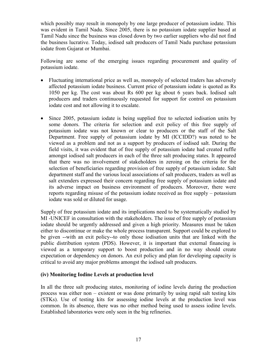which possibly may result in monopoly by one large producer of potassium iodate. This was evident in Tamil Nadu. Since 2005, there is no potassium iodate supplier based at Tamil Nadu since the business was closed down by two earlier suppliers who did not find the business lucrative. Today, iodised salt producers of Tamil Nadu purchase potassium iodate from Gujarat or Mumbai.

Following are some of the emerging issues regarding procurement and quality of potassium iodate.

- Fluctuating international price as well as, monopoly of selected traders has adversely affected potassium iodate business. Current price of potassium iodate is quoted as Rs 1050 per kg. The cost was about Rs 600 per kg about 6 years back. Iodised salt producers and traders continuously requested for support for control on potassium iodate cost and not allowing it to escalate.
- Since 2005, potassium iodate is being supplied free to selected iodisation units by some donors. The criteria for selection and exit policy of this free supply of potassium iodate was not known or clear to producers or the staff of the Salt Department. Free supply of potassium iodate by MI (ICCIDD?) was noted to be viewed as a problem and not as a support by producers of iodised salt. During the field visits, it was evident that of free supply of potassium iodate had created ruffle amongst iodised salt producers in each of the three salt producing states. It appeared that there was no involvement of stakeholders in zeroing on the criteria for the selection of beneficiaries regarding provision of free supply of potassium iodate. Salt department staff and the various local associations of salt producers, traders as well as salt extenders expressed their concern regarding free supply of potassium iodate and its adverse impact on business environment of producers. Moreover, there were reports regarding misuse of the potassium iodate received as free supply – potassium iodate was sold or diluted for usage.

Supply of free potassium iodate and its implications need to be systematically studied by MI -UNICEF in consultation with the stakeholders. The issue of free supply of potassium iodate should be urgently addressed and given a high priority. Measures must be taken either to discontinue or make the whole process transparent. Support could be explored to be given --with an exit policy--to only those iodisation units that are linked with the public distribution system (PDS). However, it is important that external financing is viewed as a temporary support to boost production and in no way should create expectation or dependency on donors. An exit policy and plan for developing capacity is critical to avoid any major problems amongst the iodised salt producers.

#### (iv) Monitoring Iodine Levels at production level

In all the three salt producing states, monitoring of iodine levels during the production process was either non – existent or was done primarily by using rapid salt testing kits (STKs). Use of testing kits for assessing iodine levels at the production level was common. In its absence, there was no other method being used to assess iodine levels. Established laboratories were only seen in the big refineries.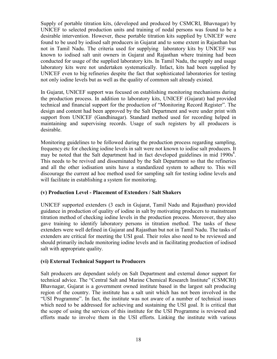Supply of portable titration kits, (developed and produced by CSMCRI, Bhavnagar) by UNICEF to selected production units and training of nodal persons was found to be a desirable intervention. However, these portable titration kits supplied by UNICEF were found to be used by iodised salt producers in Gujarat and to some extent in Rajasthan but not in Tamil Nadu. The criteria used for supplying laboratory kits by UNICEF was known to iodised salt unit owners in Gujarat and Rajasthan where training had been conducted for usage of the supplied laboratory kits. In Tamil Nadu, the supply and usage laboratory kits were not undertaken systematically. Infact, kits had been supplied by UNICEF even to big refineries despite the fact that sophisticated laboratories for testing not only iodine levels but as well as the quality of common salt already existed.

In Gujarat, UNICEF support was focused on establishing monitoring mechanisms during the production process. In addition to laboratory kits, UNICEF (Gujarat) had provided technical and financial support for the production of "Monitoring Record Register". The design and content had been approved by the Salt Department and were under print with support from UNICEF (Gandhinagar). Standard method used for recording helped in maintaining and supervising records. Usage of such registers by all producers is desirable.

 Monitoring guidelines to be followed during the production process regarding sampling, frequency etc for checking iodine levels in salt were not known to iodise salt producers. It may be noted that the Salt department had in fact developed guidelines in mid  $1990s<sup>8</sup>$ . This needs to be revived and disseminated by the Salt Department so that the refineries and all the other iodisation units have a standardized system to adhere to. This will discourage the current ad hoc method used for sampling salt for testing iodine levels and will facilitate in establishing a system for monitoring.

#### (v) Production Level - Placement of Extenders / Salt Shakers

UNICEF supported extenders (3 each in Gujarat, Tamil Nadu and Rajasthan) provided guidance in production of quality of iodine in salt by motivating producers to mainstream titration method of checking iodine levels in the production process. Moreover, they also gave training to identify laboratory persons in titration method. The tasks of these extenders were well defined in Gujarat and Rajasthan but not in Tamil Nadu. The tasks of extenders are critical for meeting the USI goal. Their roles also need to be reviewed and should primarily include monitoring iodine levels and in facilitating production of iodised salt with appropriate quality.

#### (vi) External Technical Support to Producers

 Salt producers are dependant solely on Salt Department and external donor support for technical advice. The "Central Salt and Marine Chemical Research Institute" (CSMCRI) Bhavnagar, Gujarat is a government owned institute based in the largest salt producing region of the country. The institute has a salt unit which has not been involved in the "USI Programme". In fact, the institute was not aware of a number of technical issues which need to be addressed for achieving and sustaining the USI goal. It is critical that the scope of using the services of this institute for the USI Programme is reviewed and efforts made to involve them in the USI efforts. Linking the institute with various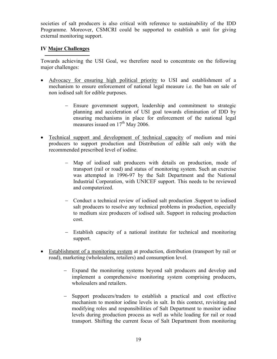societies of salt producers is also critical with reference to sustainability of the IDD Programme. Moreover, CSMCRI could be supported to establish a unit for giving external monitoring support.

#### IV Major Challenges

Towards achieving the USI Goal, we therefore need to concentrate on the following major challenges:

- Advocacy for ensuring high political priority to USI and establishment of a mechanism to ensure enforcement of national legal measure i.e. the ban on sale of non iodised salt for edible purposes.
	- − Ensure government support, leadership and commitment to strategic planning and acceleration of USI goal towards elimination of IDD by ensuring mechanisms in place for enforcement of the national legal measures issued on 17<sup>th</sup> May 2006.
- Technical support and development of technical capacity of medium and mini producers to support production and Distribution of edible salt only with the recommended prescribed level of iodine.
	- − Map of iodised salt producers with details on production, mode of transport (rail or road) and status of monitoring system. Such an exercise was attempted in 1996-97 by the Salt Department and the National Industrial Corporation, with UNICEF support. This needs to be reviewed and computerized.
	- − Conduct a technical review of iodised salt production .Support to iodised salt producers to resolve any technical problems in production, especially to medium size producers of iodised salt. Support in reducing production cost.
	- − Establish capacity of a national institute for technical and monitoring support.
- Establishment of a monitoring system at production, distribution (transport by rail or road), marketing (wholesalers, retailers) and consumption level.
	- − Expand the monitoring systems beyond salt producers and develop and implement a comprehensive monitoring system comprising producers, wholesalers and retailers.
	- − Support producers/traders to establish a practical and cost effective mechanism to monitor iodine levels in salt. In this context, revisiting and modifying roles and responsibilities of Salt Department to monitor iodine levels during production process as well as while loading for rail or road transport. Shifting the current focus of Salt Department from monitoring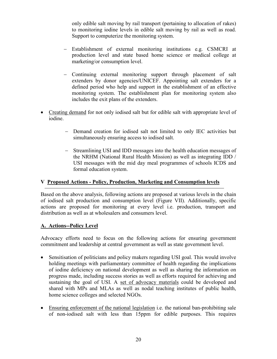only edible salt moving by rail transport (pertaining to allocation of rakes) to monitoring iodine levels in edible salt moving by rail as well as road. Support to computerize the monitoring system.

- − Establishment of external monitoring institutions e.g. CSMCRI at production level and state based home science or medical college at marketing/or consumption level.
- − Continuing external monitoring support through placement of salt extenders by donor agencies/UNICEF. Appointing salt extenders for a defined period who help and support in the establishment of an effective monitoring system. The establishment plan for monitoring system also includes the exit plans of the extenders.
- Creating demand for not only iodised salt but for edible salt with appropriate level of iodine.
	- − Demand creation for iodised salt not limited to only IEC activities but simultaneously ensuring access to iodised salt.
	- − Streamlining USI and IDD messages into the health education messages of the NRHM (National Rural Health Mission) as well as integrating IDD / USI messages with the mid day meal programmes of schools ICDS and formal education system.

#### V Proposed Actions - Policy, Production, Marketing and Consumption levels

Based on the above analysis, following actions are proposed at various levels in the chain of iodised salt production and consumption level (Figure VII). Additionally, specific actions are proposed for monitoring at every level i.e. production, transport and distribution as well as at wholesalers and consumers level.

#### A. Actions--Policy Level

Advocacy efforts need to focus on the following actions for ensuring government commitment and leadership at central government as well as state government level.

- Sensitisation of politicians and policy makers regarding USI goal. This would involve holding meetings with parliamentary committee of health regarding the implications of iodine deficiency on national development as well as sharing the information on progress made, including success stories as well as efforts required for achieving and sustaining the goal of USI. A set of advocacy materials could be developed and shared with MPs and MLAs as well as nodal teaching institutes of public health, home science colleges and selected NGOs.
- Ensuring enforcement of the national legislation i.e. the national ban-prohibiting sale of non-iodised salt with less than 15ppm for edible purposes. This requires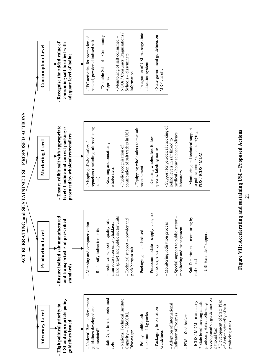



of Action primarily of salt

of Action primarily of salt

producing states

producing states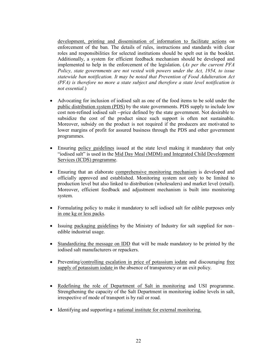development, printing and dissemination of information to facilitate actions on enforcement of the ban. The details of rules, instructions and standards with clear roles and responsibilities for selected institutions should be spelt out in the booklet. Additionally, a system for efficient feedback mechanism should be developed and implemented to help in the enforcement of the legislation. (As per the current PFA Policy, state governments are not vested with powers under the Act, 1954, to issue statewide ban notification. It may be noted that Prevention of Food Adulteration Act (PFA) is therefore no more a state subject and therefore a state level notification is not essential.)

- Advocating for inclusion of iodised salt as one of the food items to be sold under the public distribution system (PDS) by the state governments. PDS supply to include low cost non-refined iodised salt --price defined by the state government. Not desirable to subsidize the cost of the product since such support is often not sustainable. Moreover, subsidy on the product is not required if the producers are motivated to lower margins of profit for assured business through the PDS and other government programmes.
- Ensuring policy guidelines issued at the state level making it mandatory that only "iodised salt" is used in the Mid Day Meal (MDM) and Integrated Child Development Services (ICDS) programme.
- Ensuring that an elaborate comprehensive monitoring mechanism is developed and officially approved and established. Monitoring system not only to be limited to production level but also linked to distribution (wholesalers) and market level (retail). Moreover, efficient feedback and adjustment mechanism is built into monitoring system.
- Formulating policy to make it mandatory to sell iodised salt for edible purposes only in one kg or less packs.
- Issuing packaging guidelines by the Ministry of Industry for salt supplied for non– edible industrial usage.
- Standardizing the message on IDD that will be made mandatory to be printed by the iodised salt manufacturers or repackers.
- Preventing/controlling escalation in price of potassium iodate and discouraging free supply of potassium iodate in the absence of transparency or an exit policy.
- Redefining the role of Department of Salt in monitoring and USI programme. Strengthening the capacity of the Salt Department in monitoring iodine levels in salt, irrespective of mode of transport is by rail or road.
- Identifying and supporting a national institute for external monitoring.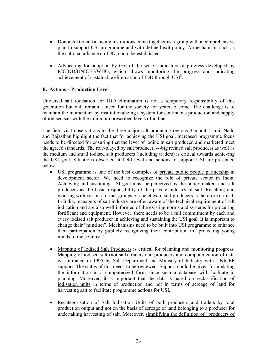- Donors/external financing institutions come together as a group with a comprehensive plan to support USI programme and with defined exit policy. A mechanism, such as the national alliance on IDD, could be established.
- Advocating for adoption by GoI of the set of indicators of progress developed by ICCIDD/UNICEF/WHO, which allows monitoring the progress and indicating achievement of sustainable elimination of IDD through USI<sup>8</sup>.

#### B. Actions – Production Level

Universal salt iodisation for IDD elimination is not a temporary responsibility of this generation but will remain a need for the society for years to come. The challenge is to maintain the momentum by institutionalizing a system for continuous production and supply of iodised salt with the minimum prescribed levels of iodine.

The field visit observations to the three major salt producing regions, Gujarat, Tamil Nadu and Rajasthan highlight the fact that for achieving the USI goal, increased programme focus needs to be directed for ensuring that the level of iodine in salt produced and marketed meet the agreed standards. The role-played by salt producer, ---big refined salt producers as well as the medium and small iodised salt producers (including traders) is critical towards achieving the USI goal. Situations observed at field level and actions to support USI are presented below.

- USI programme is one of the best examples of private public people partnership in development sector. We need to recognize the role of private sector in India. Achieving and sustaining USI goal must be perceived by the policy makers and salt producers as the basic responsibility of the private industry of salt. Reaching and working with various formal groups of societies of salt producers is therefore critical. In India, managers of salt industry are often aware of the technical requirement of salt iodization and are also well informed of the existing norms and systems for procuring fortificant and equipment. However, there needs to be a full commitment by each and every iodised salt producer in achieving and sustaining the USI goal. It is important to change their "mind set". Mechanisms need to be built into USI programme to enhance their participation by publicly recognizing their contribution in "protecting young minds of the country."
- Mapping of Iodised Salt Producers is critical for planning and monitoring progress. Mapping of iodised salt (not salt) traders and producers and computerization of data was initiated in 1995 by Salt Department and Ministry of Industry with UNICEF support. The status of this needs to be reviewed. Support could be given for updating the information in a computerized form since such a database will facilitate in planning. Moreover, it is important that the data is based on reclassification of iodisation units in terms of production and not in terms of acreage of land for harvesting salt to facilitate programme actions for USI.
- Recategorisation of Salt Iodisation Units of both producers and traders by total production output and not on the basis of acreage of land belonging to a producer for undertaking harvesting of salt. Moreover, simplifying the definition of "producers of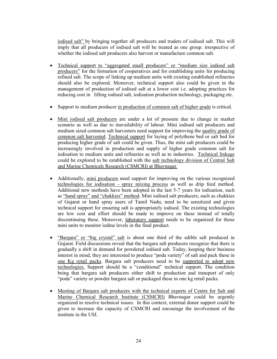iodised salt" by bringing together all producers and traders of iodised salt. This will imply that all producers of iodised salt will be treated as one group. irrespective of whether the iodised salt producers also harvest or manufacture common salt.

- Technical support to "aggregated small producers" or "medium size iodised salt producers" for the formation of cooperatives and for establishing units for producing refined salt. The scope of linking up medium units with existing established refineries should also be explored. Moreover, technical support also could be given in the management of production of iodised salt at a lower cost i.e. adopting practices for reducing cost in lifting iodised salt, iodisation production technology, packaging etc.
- Support to medium producer in production of common salt of higher grade is critical.
- Mini iodised salt producers are under a lot of pressure due to change in market scenario as well as due to inavailability of labour. Mini iodised salt producers and medium sized common salt harvesters need support for improving the quality grade of common salt harvested. Technical support for laying of polythene bed or salt bed for producing higher grade of salt could be given. Thus, the mini salt producers could be increasingly involved in production and supply of higher grade common salt for iodisation to medium units and refineries as well as to industries. Technical linkage could be explored to be established with the salt technology division of Central Salt and Marine Chemicals Research (CSMCRI) at Bhavnagar.
- Additionally, mini producers need support for improving on the various recognized technologies for iodisation - spray mixing process as well as drip feed method. Additional new methods have been adopted in the last 5-7 years for iodisation, such as "hand spray" and "chakkies" method. Mini iodised salt producers, such as chakkies of Gujarat or hand spray users of Tamil Nadu, need to be sensitized and given technical support for ensuring salt is appropriately iodised. The existing technologies are low cost and effort should be made to improve on these instead of totally discontinuing these. Moreover, laboratory support needs to be organized for those mini units to monitor iodine levels in the final product.
- "Bargara" or "big crystal" salt is about one third of the edible salt produced in Gujarat. Field discussions reveal that the bargara salt producers recognize that there is gradually a shift in demand for powdered iodised salt. Today, keeping their business interest in mind, they are interested to produce "poda variety" of salt and pack these in one Kg retail packs. Bargara salt producers need to be supported to adopt new technologies. Support should be a "conditional" technical support. The condition being that bargara salt producers either shift to production and transport of only "poda" variety or powder bargara salt or packaged these in one kg retail packs.
- Meeting of Bargara salt producers with the technical experts of Centre for Salt and Marine Chemical Research Institute (CSMCRI) Bhavnagar could be urgently organized to resolve technical issues. In this context, external donor support could be given to increase the capacity of CSMCRI and encourage the involvement of the institute in the USI.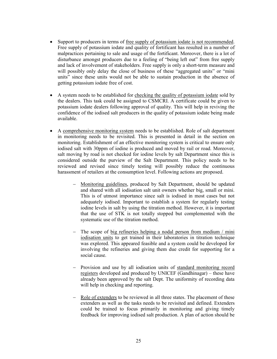- Support to producers in terms of free supply of potassium iodate is not recommended. Free supply of potassium iodate and quality of fortificant has resulted in a number of malpractices pertaining to sale and usage of the fortificant. Moreover, there is a lot of disturbance amongst producers due to a feeling of "being left out" from free supply and lack of involvement of stakeholders. Free supply is only a short-term measure and will possibly only delay the close of business of these "aggregated units" or "mini units" since these units would not be able to sustain production in the absence of getting potassium iodate free of cost.
- A system needs to be established for checking the quality of potassium iodate sold by the dealers. This task could be assigned to CSMCRI. A certificate could be given to potassium iodate dealers following approval of quality. This will help in reviving the confidence of the iodised salt producers in the quality of potassium iodate being made available.
- A comprehensive monitoring system needs to be established. Role of salt department in monitoring needs to be revisited. This is presented in detail in the section on monitoring. Establishment of an effective monitoring system is critical to ensure only iodised salt with 30ppm of iodine is produced and moved by rail or road. Moreover, salt moving by road is not checked for iodine levels by salt Department since this is considered outside the purview of the Salt Department. This policy needs to be reviewed and revised since timely testing will possibly reduce the continuous harassment of retailers at the consumption level. Following actions are proposed.
	- − Monitoring guidelines, produced by Salt Department, should be updated and shared with all iodisation salt unit owners whether big, small or mini. This is of utmost importance since salt is iodised in most cases but not adequately iodised. Important to establish a system for regularly testing iodine levels in salt by using the titration method. However, it is important that the use of STK is not totally stopped but complemented with the systematic use of the titration method.
	- − The scope of big refineries helping a nodal person from medium / mini iodisation units to get trained in their laboratories in titration technique was explored. This appeared feasible and a system could be developed for involving the refineries and giving them due credit for supporting for a social cause.
	- − Provision and use by all iodisation units of standard monitoring record registers developed and produced by UNICEF (Gandhinagar) – these have already been approved by the salt Dept. The uniformity of recording data will help in checking and reporting.
	- − Role of extenders to be reviewed in all three states. The placement of these extenders as well as the tasks needs to be revisited and defined. Extenders could be trained to focus primarily in monitoring and giving timely feedback for improving iodised salt production. A plan of action should be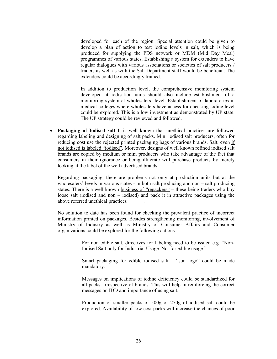developed for each of the region. Special attention could be given to develop a plan of action to test iodine levels in salt, which is being produced for supplying the PDS network or MDM (Mid Day Meal) programmes of various states. Establishing a system for extenders to have regular dialogues with various associations or societies of salt producers / traders as well as with the Salt Department staff would be beneficial. The extenders could be accordingly trained.

- − In addition to production level, the comprehensive monitoring system developed at iodisation units should also include establishment of a monitoring system at wholesalers' level. Establishment of laboratories in medical colleges where wholesalers have access for checking iodine level could be explored. This is a low investment as demonstrated by UP state. The UP strategy could be reviewed and followed.
- Packaging of Iodised salt It is well known that unethical practices are followed regarding labeling and designing of salt packs. Mini iodised salt producers, often for reducing cost use the rejected printed packaging bags of various brands. Salt, even if not iodised is labeled "iodised". Moreover, designs of well known refined iodised salt brands are copied by medium or mini producers who take advantage of the fact that consumers in their ignorance or being illiterate will purchase products by merely looking at the label of the well advertised brands.

Regarding packaging, there are problems not only at production units but at the wholesalers' levels in various states - in both salt producing and non – salt producing states. There is a well known business of "repackers" – these being traders who buy loose salt (iodised and non – iodised) and pack it in attractive packages using the above referred unethical practices .

No solution to date has been found for checking the prevalent practice of incorrect information printed on packages. Besides strengthening monitoring, involvement of Ministry of Industry as well as Ministry of Consumer Affairs and Consumer organizations could be explored for the following actions.

- − For non edible salt, directives for labeling need to be issued e.g. "Non-Iodised Salt only for Industrial Usage. Not for edible usage."
- − Smart packaging for edible iodised salt "sun logo" could be made mandatory.
- − Messages on implications of iodine deficiency could be standardized for all packs, irrespective of brands. This will help in reinforcing the correct messages on IDD and importance of using salt.
- − Production of smaller packs of 500g or 250g of iodised salt could be explored. Availability of low cost packs will increase the chances of poor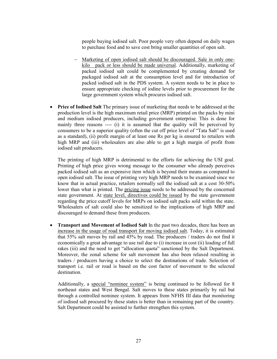people buying iodised salt. Poor people very often depend on daily wages to purchase food and to save cost bring smaller quantities of open salt.

- − Marketing of open iodised salt should be discouraged. Sale in only onekilo pack or less should be made universal. Additionally, marketing of packed iodised salt could be complemented by creating demand for packaged iodised salt at the consumption level and for introduction of packed iodised salt in the PDS system. A system needs to be in place to ensure appropriate checking of iodine levels prior to procurement for the large government system which procures iodised salt.
- Price of Iodised Salt The primary issue of marketing that needs to be addressed at the production level is the high maximum retail price (MRP) printed on the packs by mini and medium iodised producers, including government enterprise. This is done for mainly three reasons ---- (i) it is assumed that the quality will be perceived by consumers to be a superior quality (often the cut off price level of "Tata Salt" is used as a standard), (ii) profit margin of at least one Rs per kg is ensured to retailers with high MRP and (iii) wholesalers are also able to get a high margin of profit from iodised salt producers.

The printing of high MRP is detrimental to the efforts for achieving the USI goal. Printing of high price gives wrong message to the consumer who already perceives packed iodised salt as an expensive item which is beyond their means as compared to open iodised salt. The issue of printing very high MRP needs to be examined since we know that in actual practice, retailers normally sell the iodised salt at a cost 30-50% lower than what is printed. The pricing issue needs to be addressed by the concerned state government. At state level, directives could be issued by the state government regarding the price cutoff levels for MRPs on iodised salt packs sold within the state. Wholesalers of salt could also be sensitized to the implications of high MRP and discouraged to demand these from producers.

• Transport and Movement of Iodised Salt In the past two decades, there has been an increase in the usage of road transport for moving iodised salt. Today, it is estimated that 55% salt moves by rail and 45% by road. The producers / traders do not find it economically a great advantage to use rail due to (i) increase in cost (ii) loading of full rakes (iii) and the need to get "allocation quota" sanctioned by the Salt Department. Moreover, the zonal scheme for salt movement has also been relaxed resulting in traders / producers having a choice to select the destinations of trade. Selection of transport i.e. rail or road is based on the cost factor of movement to the selected destination.

Additionally, a special "nominee system" is being continued to be followed for 8 northeast states and West Bengal. Salt moves to these states primarily by rail but through a controlled nominee system. It appears from NFHS III data that monitoring of iodised salt procured by these states is better than in remaining part of the country. Salt Department could be assisted to further strengthen this system.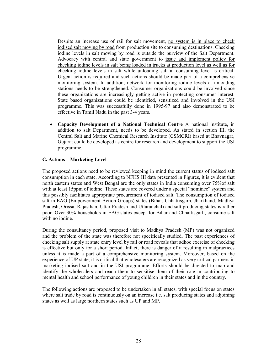Despite an increase use of rail for salt movement, no system is in place to check iodised salt moving by road from production site to consuming destinations. Checking iodine levels in salt moving by road is outside the purview of the Salt Department. Advocacy with central and state government to issue and implement policy for checking iodine levels in salt being loaded in trucks at production level as well as for checking iodine levels in salt while unloading salt at consuming level is critical. Urgent action is required and such actions should be made part of a comprehensive monitoring system. In addition, network for monitoring iodine levels at unloading stations needs to be strengthened. Consumer organizations could be involved since these organizations are increasingly getting active in protecting consumer interest. State based organizations could be identified, sensitized and involved in the USI programme. This was successfully done in 1995-97 and also demonstrated to be effective in Tamil Nadu in the past 3-4 years.

• Capacity Development of a National Technical Centre A national institute, in addition to salt Department, needs to be developed. As stated in section III, the Central Salt and Marine Chemical Research Institute (CSMCRI) based at Bhavnagar, Gujarat could be developed as centre for research and development to support the USI programme.

#### C. Actions---Marketing Level

The proposed actions need to be reviewed keeping in mind the current status of iodised salt consumption in each state. According to NFHS III data presented in Figures, it is evident that north eastern states and West Bengal are the only states in India consuming over 75%of salt with at least 15ppm of iodine. These states are covered under a special "nominee" system and this possibly facilitates appropriate procurement of iodised salt. The consumption of iodised salt in EAG (Empowerment Action Groups) states (Bihar, Chhattisgarh, Jharkhand, Madhya Pradesh, Orissa, Rajasthan, Uttar Pradesh and Uttaranchal) and salt producing states is rather poor. Over 30% households in EAG states except for Bihar and Chhattisgarh, consume salt with no iodine.

During the consultancy period, proposed visit to Madhya Pradesh (MP) was not organized and the problem of the state was therefore not specifically studied. The past experiences of checking salt supply at state entry level by rail or road reveals that adhoc exercise of checking is effective but only for a short period. Infact, there is danger of it resulting in malpractices unless it is made a part of a comprehensive monitoring system. Moreover, based on the experience of UP state, it is critical that wholesalers are recognized as very critical partners in marketing iodised salt and in the USI programme. Efforts should be directed to map and identify the wholesalers and reach them to sensitise them of their role in contributing to mental health and school performance of young children in their states and in the country.

The following actions are proposed to be undertaken in all states, with special focus on states where salt trade by road is continuously on an increase i.e. salt producing states and adjoining states as well as large northern states such as UP and MP.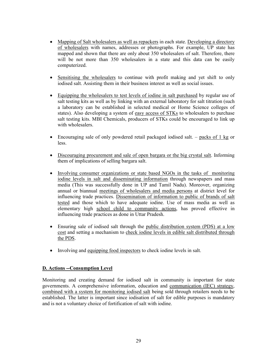- Mapping of Salt wholesalers as well as repackers in each state. Developing a directory of wholesalers with names, addresses or photographs. For example, UP state has mapped and shown that there are only about 350 wholesalers of salt. Therefore, there will be not more than 350 wholesalers in a state and this data can be easily computerized.
- Sensitising the wholesalers to continue with profit making and yet shift to only iodised salt. Assisting them in their business interest as well as social issues.
- Equipping the wholesalers to test levels of iodine in salt purchased by regular use of salt testing kits as well as by linking with an external laboratory for salt titration (such a laboratory can be established in selected medical or Home Science colleges of states). Also developing a system of easy access of STKs to wholesalers to purchase salt testing kits. MBI Chemicals, producers of STKs could be encouraged to link up with wholesalers.
- Encouraging sale of only powdered retail packaged iodised salt.  $-$  packs of 1 kg or less.
- Discouraging procurement and sale of open bargara or the big crystal salt. Informing them of implications of selling bargara salt.
- Involving consumer organizations or state based NGOs in the tasks of monitoring iodine levels in salt and disseminating information through newspapers and mass media (This was successfully done in UP and Tamil Nadu). Moreover, organizing annual or biannual meetings of wholesalers and media persons at district level for influencing trade practices. Dissemination of information to public of brands of salt tested and those which to have adequate iodine. Use of mass media as well as elementary high school child to community actions, has proved effective in influencing trade practices as done in Uttar Pradesh.
- Ensuring sale of iodised salt through the public distribution system (PDS) at a low cost and setting a mechanism to check iodine levels in edible salt distributed through the PDS.
- Involving and equipping food inspectors to check iodine levels in salt.

#### D. Actions --Consumption Level

Monitoring and creating demand for iodised salt in community is important for state governments. A comprehensive information, education and communication (IEC) strategy, combined with a system for monitoring iodised salt being sold through retailers needs to be established. The latter is important since iodisation of salt for edible purposes is mandatory and is not a voluntary choice of fortification of salt with iodine.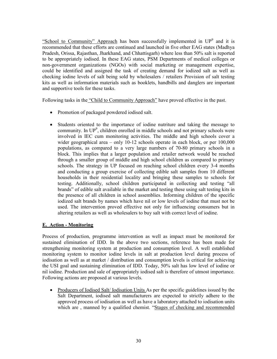"School to Community" Approach has been successfully implemented in  $UP^9$  and it is recommended that these efforts are continued and launched in five other EAG states (Madhya Pradesh, Orissa, Rajasthan, Jharkhand, and Chhattisgarh) where less than 50% salt is reported to be appropriately iodised. In these EAG states, PSM Departments of medical colleges or non-government organizations (NGOs) with social marketing or management expertise, could be identified and assigned the task of creating demand for iodized salt as well as checking iodine levels of salt being sold by wholesalers / retailers Provision of salt testing kits as well as information materials such as booklets, handbills and danglers are important and supportive tools for these tasks.

Following tasks in the "Child to Community Approach" have proved effective in the past.

- Promotion of packaged powdered iodised salt.
- Students oriented to the importance of iodine nutriture and taking the message to community. In  $UP^9$ , children enrolled in middle schools and not primary schools were involved in IEC cum monitoring activities. The middle and high schools cover a wider geographical area – only 10-12 schools operate in each block, or per 100,000 populations, as compared to a very large numbers of 70-80 primary schools in a block. This implies that a larger population and retailer network would be reached through a smaller group of middle and high school children as compared to primary schools. The strategy in UP focused on reaching school children every 3-4 months and conducting a group exercise of collecting edible salt samples from 10 different households in their residential locality and bringing these samples to schools for testing. Additionally, school children participated in collecting and testing "all brands" of edible salt available in the market and testing these using salt testing kits in the presence of all children in school assemblies. Informing children of the specific iodized salt brands by names which have nil or low levels of iodine that must not be used. The intervention proved effective not only for influencing consumers but in altering retailers as well as wholesalers to buy salt with correct level of iodine.

#### E. Action - Monitoring

Process of production, programme intervention as well as impact must be monitored for sustained elimination of IDD. In the above two sections, reference has been made for strengthening monitoring system at production and consumption level. A well established monitoring system to monitor iodine levels in salt at production level during process of iodisation as well as at market / distribution and consumption levels is critical for achieving the USI goal and sustaining elimination of IDD. Today, 50% salt has low level of iodine or nil iodine. Production and sale of appropriately iodised salt is therefore of utmost importance. Following actions are proposed at various levels.

• Producers of Iodised Salt/ Iodisation Units As per the specific guidelines issued by the Salt Department, iodised salt manufacturers are expected to strictly adhere to the approved process of iodisation as well as have a laboratory attached to iodisation units which are , manned by a qualified chemist. "Stages of checking and recommended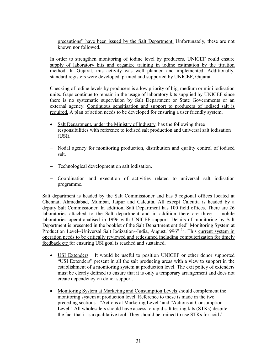precautions" have been issued by the Salt Department. Unfortunately, these are not known nor followed.

In order to strengthen monitoring of iodine level by producers, UNICEF could ensure supply of laboratory kits and organize training in iodine estimation by the titration method. In Gujarat, this activity was well planned and implemented. Additionally, standard registers were developed, printed and supported by UNICEF, Gujarat.

Checking of iodine levels by producers is a low priority of big, medium or mini iodisation units. Gaps continue to remain in the usage of laboratory kits supplied by UNICEF since there is no systematic supervision by Salt Department or State Governments or an external agency. Continuous sensitisation and support to producers of iodised salt is required. A plan of action needs to be developed for ensuring a user friendly system.

- Salt Department, under the Ministry of Industry, has the following three responsibilities with reference to iodised salt production and universal salt iodisation (USI).
- Nodal agency for monitoring production, distribution and quality control of iodised salt.
- − Technological development on salt iodisation.
- − Coordination and execution of activities related to universal salt iodisation programme.

Salt department is headed by the Salt Commissioner and has 5 regional offices located at Chennai, Ahmedabad, Mumbai, Jaipur and Calcutta. All except Calcutta is headed by a deputy Salt Commissioner. In addition, Salt Department has 100 field offices. There are 26 laboratories attached to the Salt department and in addition there are three mobile laboratories operationalised in 1996 with UNICEF support. Details of monitoring by Salt Department is presented in the booklet of the Salt Department entitled" Monitoring System at Production Level--Universal Salt Iodization--India, August,1996" <sup>10</sup>. This current system in operation needs to be critically reviewed and redesigned including computerization for timely feedback etc for ensuring USI goal is reached and sustained.

- USI Extenders It would be useful to position UNICEF or other donor supported "USI Extenders" present in all the salt producing areas with a view to support in the establishment of a monitoring system at production level. The exit policy of extenders must be clearly defined to ensure that it is only a temporary arrangement and does not create dependency on donor support.
- Monitoring System at Marketing and Consumption Levels should complement the monitoring system at production level. Reference to these is made in the two preceding sections - "Actions at Marketing Level" and "Actions at Consumption Level". All wholesalers should have access to rapid salt testing kits (STKs) despite the fact that it is a qualitative tool. They should be trained to use STKs for acid /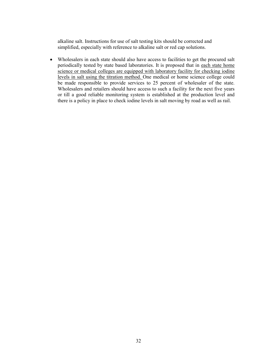alkaline salt. Instructions for use of salt testing kits should be corrected and simplified, especially with reference to alkaline salt or red cap solutions.

• Wholesalers in each state should also have access to facilities to get the procured salt periodically tested by state based laboratories. It is proposed that in each state home science or medical colleges are equipped with laboratory facility for checking iodine levels in salt using the titration method. One medical or home science college could be made responsible to provide services to 25 percent of wholesaler of the state. Wholesalers and retailers should have access to such a facility for the next five years or till a good reliable monitoring system is established at the production level and there is a policy in place to check iodine levels in salt moving by road as well as rail.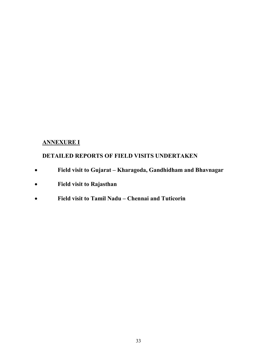#### ANNEXURE I

### DETAILED REPORTS OF FIELD VISITS UNDERTAKEN

- Field visit to Gujarat Kharagoda, Gandhidham and Bhavnagar
- Field visit to Rajasthan
- Field visit to Tamil Nadu Chennai and Tuticorin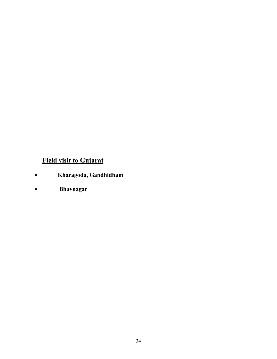# Field visit to Gujarat

- Kharagoda, Gandhidham
- Bhavnagar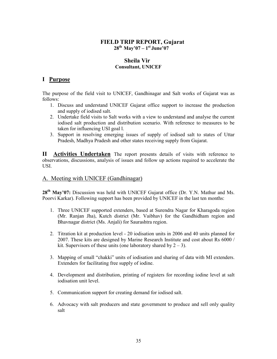#### FIELD TRIP REPORT, Gujarat  $28^{th}$  May'07 – 1st June'07

#### Sheila Vir Consultant, UNICEF

#### I Purpose

The purpose of the field visit to UNICEF, Gandhinagar and Salt works of Gujarat was as follows:

- 1. Discuss and understand UNICEF Gujarat office support to increase the production and supply of iodised salt.
- 2. Undertake field visits to Salt works with a view to understand and analyse the current iodised salt production and distribution scenario. With reference to measures to be taken for influencing USI goal l.
- 3. Support in resolving emerging issues of supply of iodised salt to states of Uttar Pradesh, Madhya Pradesh and other states receiving supply from Gujarat.

II Activities Undertaken The report presents details of visits with reference to observations, discussions, analysis of issues and follow up actions required to accelerate the USI.

#### A. Meeting with UNICEF (Gandhinagar)

28<sup>th</sup> May'07: Discussion was held with UNICEF Gujarat office (Dr. Y.N. Mathur and Ms. Poorvi Karkar). Following support has been provided by UNICEF in the last ten months:

- 1. Three UNICEF supported extenders, based at Surendra Nagar for Kharagoda region (Mr. Ranjan Jha), Kutch district (Mr. Vaibhav) for the Gandhidham region and Bhavnagar district (Ms. Anjali) for Saurashtra region.
- 2. Titration kit at production level 20 iodisation units in 2006 and 40 units planned for 2007. These kits are designed by Marine Research Institute and cost about Rs 6000 / kit. Supervisors of these units (one laboratory shared by  $2 - 3$ ).
- 3. Mapping of small "chakki" units of iodisation and sharing of data with MI extenders. Extenders for facilitating free supply of iodine.
- 4. Development and distribution, printing of registers for recording iodine level at salt iodisation unit level.
- 5. Communication support for creating demand for iodised salt.
- 6. Advocacy with salt producers and state government to produce and sell only quality salt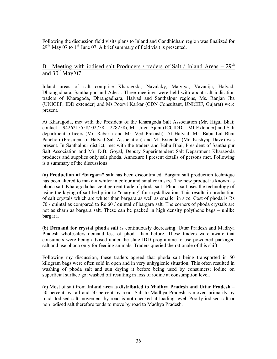Following the discussion field visits plans to Inland and Gandhidham region was finalized for  $29<sup>th</sup>$  May 07 to 1<sup>st</sup> June 07. A brief summary of field visit is presented.

#### <u>B.</u> Meeting with iodised salt Producers / traders of Salt / Inland Areas –  $29<sup>th</sup>$ and  $30^{th}$  May'07

Inland areas of salt comprise Kharagoda, Navalaky, Malviya, Vavanija, Halvad, Dhrangadhara, Santhalpur and Adesa. Three meetings were held with about salt iodisation traders of Kharagoda, Dhrangadhara, Halvad and Santhalpur regions, Ms. Ranjan Jha (UNICEF, IDD extender) and Ms Poorvi Karkar (CDN Consultant, UNICEF, Gujarat) were present.

At Kharagoda, met with the President of the Kharagoda Salt Association (Mr. Higul Bhai; contact – 9426215558/ 02758 – 228258), Mr. Jiten Ajani (ICCIDD – MI Extender) and Salt department officers (Mr. Rabaria and Mr. Ved Prakash). At Halvad, Mr. Babu Lal Bhai Pancholi (President of Halvad Salt Association) and MI Extender (Mr. Kashyap Dave) was present. In Santhalpur district, met with the traders and Babu Bhai, President of Santhalpur Salt Association and Mr. D.B. Goyal, Deputy Superintendent Salt Department Kharagoda produces and supplies only salt phoda. Annexure I present details of persons met. Following is a summary of the discussions:

(a) Production of "bargara" salt has been discontinued. Bargara salt production technique has been altered to make it whiter in colour and smaller in size. The new product is known as phoda salt. Kharagoda has cent percent trade of phoda salt. Phoda salt uses the technology of using the laying of salt bed prior to "charging" for crystallization. This results in production of salt crystals which are whiter than bargara as well as smaller in size. Cost of phoda is Rs 70 / quintal as compared to Rs 60 / quintal of bargara salt. The corners of phoda crystals are not as sharp as bargara salt. These can be packed in high density polythene bags – unlike bargara.

(b) Demand for crystal phoda salt is continuously decreasing. Uttar Pradesh and Madhya Pradesh wholesalers demand less of phoda than before. These traders were aware that consumers were being advised under the state IDD programme to use powdered packaged salt and use phoda only for feeding animals. Traders queried the rationale of this shift.

Following my discussion, these traders agreed that phoda salt being transported in 50 kilogram bags were often sold in open and in very unhygienic situation. This often resulted in washing of phoda salt and sun drying it before being used by consumers; iodine on superficial surface got washed off resulting in loss of iodine at consumption level.

(c) Most of salt from Inland area is distributed to Madhya Pradesh and Uttar Pradesh – 50 percent by rail and 50 percent by road. Salt to Madhya Pradesh is moved primarily by road. Iodised salt movement by road is not checked at loading level. Poorly iodised salt or non iodised salt therefore tends to move by road to Madhya Pradesh.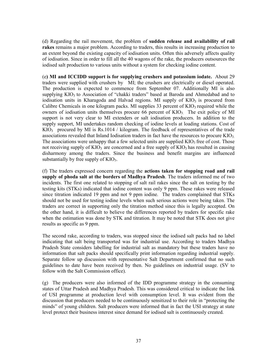(d) Regarding the rail movement, the problem of sudden release and availability of rail rakes remains a major problem. According to traders, this results in increasing production to an extent beyond the existing capacity of iodisation units. Often this adversely affects quality of iodisation. Since in order to fill all the 40 wagons of the rake, the producers outsources the iodised salt production to various units without a system for checking iodine content.

(e) MI and ICCIDD support is for supplying crushers and potassium iodate. About 29 traders were supplied with crushers by MI; the crushers are electrically or diesel operated. The production is expected to commence from September 07. Additionally MI is also supplying  $KIO_3$  to Association of "chakki traders" based at Baroda and Ahmedabad and to iodisation units in Kharagoda and Halvad regions. MI supply of  $KIO<sub>3</sub>$  is procured from Calibre Chemicals in one kilogram packs. MI supplies 33 percent of  $KIO<sub>3</sub>$  required while the owners of iodisation units themselves procure 66 percent of  $KIO<sub>3</sub>$ . The exit policy of MI support is not very clear to MI extenders or salt iodisation producers. In addition to the supply support, MI undertakes random checking of iodine levels at loading stations. Cost of  $KIO_3$  procured by MI is Rs.1014 / kilogram. The feedback of representatives of the trade associations revealed that Inland Iodisation traders in fact have the resources to procure  $KIO<sub>3</sub>$ . The associations were unhappy that a few selected units are supplied  $KIO<sub>3</sub>$  free of cost. Those not receiving supply of  $KIO_3$  are concerned and a free supply of  $KIO_3$  has resulted in causing disharmony among the traders. Since the business and benefit margins are influenced substantially by free supply of  $KIO<sub>3</sub>$ .

(f) The traders expressed concern regarding the actions taken for stopping road and rail supply of phoda salt at the borders of Madhya Pradesh. The traders informed me of two incidents. The first one related to stopping of salt rail rakes since the salt on testing by the testing kits (STKs) indicated that iodine content was only 9 ppm. These rakes were released since titration indicated 19 ppm and not 9 ppm iodine. The traders complained that STKs should not be used for testing iodine levels when such serious actions were being taken. The traders are correct in supporting only the titration method since this is legally accepted. On the other hand, it is difficult to believe the differences reported by traders for specific rake when the estimation was done by STK and titration. It may be noted that STK does not give results as specific as 9 ppm.

The second rake, according to traders, was stopped since the iodised salt packs had no label indicating that salt being transported was for industrial use. According to traders Madhya Pradesh State considers labelling for industrial salt as mandatory but these traders have no information that salt packs should specifically print information regarding industrial supply. Separate follow up discussion with representative Salt Department confirmed that no such guidelines to date have been received by then. No guidelines on industrial usage. (SV to follow with the Salt Commission office).

(g) The producers were also informed of the IDD programme strategy in the consuming states of Uttar Pradesh and Madhya Pradesh. This was considered critical to indicate the link of USI programme at production level with consumption level. It was evident from the discussion that producers needed to be continuously sensitized to their role in "protecting the minds" of young children. Salt producers were informed that in fact the USI strategy at state level protect their business interest since demand for iodised salt is continuously created.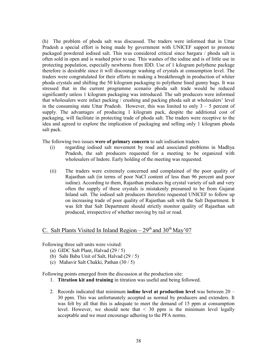(h) The problem of phoda salt was discussed. The traders were informed that in Uttar Pradesh a special effort is being made by government with UNICEF support to promote packaged powdered iodised salt. This was considered critical since bargara / phoda salt is often sold in open and is washed prior to use. This washes of the iodine and is of little use in protecting population, especially newborns from IDD. Use of 1 kilogram polythene package therefore is desirable since it will discourage washing of crystals at consumption level. The traders were congratulated for their efforts in making a breakthrough in production of whiter phoda crystals and shifting the 50 kilogram packaging to polythene lined gunny bags. It was stressed that in the current programme scenario phoda salt trade would be reduced significantly unless 1 kilogram packaging was introduced. The salt producers were informed that wholesalers were infact packing / crushing and packing phoda salt at wholesalers' level in the consuming state Uttar Pradesh. However, this was limited to only  $3 - 5$  percent of supply. The advantages of producing 1 kilogram pack, despite the additional cost of packaging, will facilitate in protecting trade of phoda salt. The traders were receptive to the idea and agreed to explore the implication of packaging and selling only 1 kilogram phoda salt pack.

The following two issues were of primary concern to salt iodisation traders

- (i) regarding iodised salt movement by road and associated problems in Madhya Pradesh, the salt producers requested for a meeting to be organized with wholesalers of Indore. Early holding of the meeting was requested.
- (ii) The traders were extremely concerned and complained of the poor quality of Rajasthan salt (in terms of poor NaCl content of less than 96 percent and poor iodine). According to them, Rajasthan produces big crystal variety of salt and very often the supply of these crystals is mistakenly presumed to be from Gujarat Inland salt. The iodised salt producers therefore requested UNICEF to follow up on increasing trade of poor quality of Rajasthan salt with the Salt Department. It was felt that Salt Department should strictly monitor quality of Rajasthan salt produced, irrespective of whether moving by rail or road.

# C. Salt Plants Visited In Inland Region –  $29<sup>th</sup>$  and  $30<sup>th</sup>$  May'07

Following three salt units were visited:

- (a) GIDC Salt Plant, Halvad (29 / 5)
- (b) Sahi Baba Unit of Salt, Halvad (29 / 5)
- (c) Mahavir Salt Chakki, Pathan (30 / 5)

Following points emerged from the discussion at the production site:

- 1. Titration kit and training in titration was useful and being followed.
- 2. Records indicated that minimum **iodine level at production level** was between  $20 -$ 30 ppm. This was unfortunately accepted as normal by producers and extenders. It was felt by all that this is adequate to meet the demand of 15 ppm at consumption level. However, we should note that  $\leq$  30 ppm is the minimum level legally acceptable and we must encourage adhering to the PFA norms.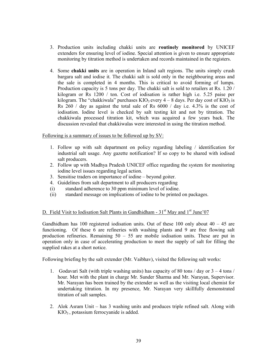- 3. Production units including chakki units are routinely monitored by UNICEF extenders for ensuring level of iodine. Special attention is given to ensure appropriate monitoring by titration method is undertaken and records maintained in the registers.
- 4. Some chakki units are in operation in Inland salt regions. The units simply crush bargara salt and iodise it. The chakki salt is sold only in the neighbouring areas and the sale is completed in 4 months. This is critical to avoid forming of lumps. Production capacity is 5 tons per day. The chakki salt is sold to retailers at Rs. 1.20 / kilogram or Rs 1200 / ton. Cost of iodisation is rather high i.e. 5.25 paise per kilogram. The "chakkiwala" purchases  $KIO_3$  every  $4-8$  days. Per day cost of  $KIO_3$  is Rs 260 / day as against the total sale of Rs  $6000$  / day i.e. 4.3% is the cost of iodisation. Iodine level is checked by salt testing kit and not by titration. The chakkiwala processed titration kit, which was acquired a few years back. The discussion revealed that chakkiwalas were interested in using the titration method.

Following is a summary of issues to be followed up by SV:

- 1. Follow up with salt department on policy regarding labeling / identification for industrial salt usage. Any gazette notification? If so copy to be shared with iodised salt producers.
- 2. Follow up with Madhya Pradesh UNICEF office regarding the system for monitoring iodine level issues regarding legal action.
- 3. Sensitise traders on importance of iodine beyond goiter.
- 4. Guidelines from salt department to all producers regarding
- (i) standard adherence to 30 ppm minimum level of iodine.
- (ii) standard message on implications of iodine to be printed on packages.

## D. Field Visit to Iodisation Salt Plants in Gandhidham -  $31<sup>st</sup>$  May and  $1<sup>st</sup>$  June'07

Gandhidham has 100 registered iodisation units. Out of these 100 only about  $40 - 45$  are functioning. Of these 6 are refineries with washing plants and 9 are free flowing salt production refineries. Remaining 50 – 55 are mobile iodisation units. These are put in operation only in case of accelerating production to meet the supply of salt for filling the supplied rakes at a short notice.

Following briefing by the salt extender (Mr. Vaibhav), visited the following salt works:

- 1. Godavari Salt (with triple washing units) has capacity of 80 tons / day or 3 4 tons / hour. Met with the plant in charge Mr. Sunder Sharma and Mr. Narayan, Supervisor. Mr. Narayan has been trained by the extender as well as the visiting local chemist for undertaking titration. In my presence, Mr. Narayan very skillfully demonstrated titration of salt samples.
- 2. Alok Asram Unit has 3 washing units and produces triple refined salt. Along with KIO3 , potassium ferrocyanide is added.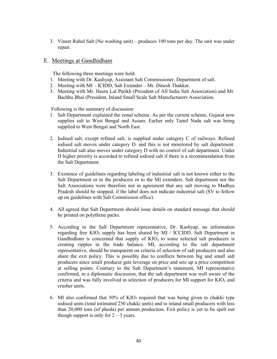3. Vineet Rahul Salt (No washing unit) – produces 100 tons per day. The unit was under repair.

## E. Meetings at Gandhidham

The following three meetings were held:

- 1. Meeting with Dr. Kashyap, Assistant Salt Commissioner, Department of salt.
- 2. Meeting with MI ICIDD, Salt Extender Mr. Dinesh Thakkar.
- 3. Meeting with Mr. Heera Lal Parikh (President of All India Salt Association) and Mr. Bachhu Bhai (President, Inland Small Scale Salt Manufacturers Association.

Following is the summary of discussion:

- 1. Salt Department explained the zonal scheme. As per the current scheme, Gujarat now supplies salt to West Bengal and Assam. Earlier only Tamil Nadu salt was being supplied to West Bengal and North East.
- 2. Iodised salt, except refined salt, is supplied under category C of railways. Refined iodised salt moves under category D. and this is not monitored by salt department. Industrial salt also moves under category D with no control of salt department. Under D higher priority is accorded to refined iodised salt if there is a recommendation from the Salt Department.
- 3. Existence of guidelines regarding labeling of industrial salt is not known either to the Salt Department or to the producers or to the MI extenders. Salt department nor the Salt Associations were therefore not in agreement that any salt moving to Madhya Pradesh should be stopped, if the label does not indicate industrial salt (SV to follow up on guidelines with Salt Commission office).
- 4. All agreed that Salt Department should issue details on standard message that should be printed on polythene packs.
- 5. According to the Salt Department representative, Dr. Kashyap, no information regarding free KIO<sub>3</sub> supply has been shared by MI  $/$  ICCIDD. Salt Department in Gandhidham is concerned that supply of  $KIO<sub>3</sub>$  to some selected salt producers is creating ripples in the trade balance. MI, according to the salt department representative, should be transparent on criteria of selection of salt producers and also share the exit policy. This is possibly due to conflicts between big and small salt producers since small producer gets leverage on price and sets up a price competition at selling points. Contrary to the Salt Department's statement, MI representative confirmed, in a diplomatic discussion, that the salt department was well aware of the criteria and was fully involved in selection of producers for MI support for  $KIO_3$  and crusher units.
- 6. MI also confirmed that  $50\%$  of  $KIO_3$  required that was being given to chakki type iodised units (total estimated 250 chakki units) and to inland small producers with less than 20,000 tons (of phoda) per annum production. Exit policy is yet to be spelt out though support is only for  $2 - 3$  years.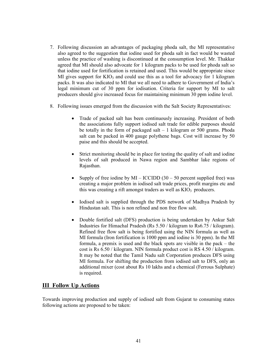- 7. Following discussion an advantages of packaging phoda salt, the MI representative also agreed to the suggestion that iodine used for phoda salt in fact would be wasted unless the practice of washing is discontinued at the consumption level. Mr. Thakkar agreed that MI should also advocate for 1 kilogram packs to be used for phoda salt so that iodine used for fortification is retained and used. This would be appropriate since MI gives support for  $KIO_3$  and could use this as a tool for advocacy for 1 kilogram packs. It was also indicated to MI that we all need to adhere to Government of India's legal minimum cut of 30 ppm for iodisation. Criteria for support by MI to salt producers should give increased focus for maintaining minimum 30 ppm iodine level.
- 8. Following issues emerged from the discussion with the Salt Society Representatives:
	- Trade of packed salt has been continuously increasing. President of both the associations fully support iodised salt trade for edible purposes should be totally in the form of packaged salt – 1 kilogram or 500 grams. Phoda salt can be packed in 400 gauge polythene bags. Cost will increase by 50 paise and this should be accepted.
	- Strict monitoring should be in place for testing the quality of salt and iodine levels of salt produced in Nawa region and Sambhar lake regions of Rajasthan.
	- Supply of free iodine by MI ICCIDD  $(30 50)$  percent supplied free) was creating a major problem in iodised salt trade prices, profit margins etc and this was creating a rift amongst traders as well as  $KIO_3$  producers.
	- Iodised salt is supplied through the PDS network of Madhya Pradesh by Hindustan salt. This is non refined and non free flow salt.
	- Double fortified salt (DFS) production is being undertaken by Ankur Salt Industries for Himachal Pradesh (Rs 5.50 / kilogram to Rs6.75 / kilogram). Refined free flow salt is being fortified using the NIN formula as well as MI formula (Iron fortification is 1000 ppm and iodine is 30 ppm). In the MI formula, a premix is used and the black spots are visible in the pack – the cost is Rs 6.50 / kilogram. NIN formula product cost is RS 4.50 / kilogram. It may be noted that the Tamil Nadu salt Corporation produces DFS using MI formula. For shifting the production from iodised salt to DFS, only an additional mixer (cost about Rs 10 lakhs and a chemical (Ferrous Sulphate) is required.

# III Follow Up Actions

Towards improving production and supply of iodised salt from Gujarat to consuming states following actions are proposed to be taken: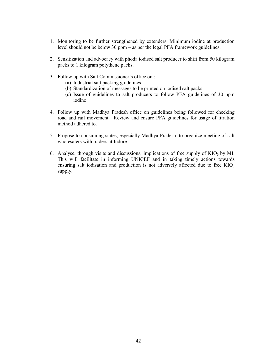- 1. Monitoring to be further strengthened by extenders. Minimum iodine at production level should not be below 30 ppm – as per the legal PFA framework guidelines.
- 2. Sensitization and advocacy with phoda iodised salt producer to shift from 50 kilogram packs to 1 kilogram polythene packs.
- 3. Follow up with Salt Commissioner's office on :
	- (a) Industrial salt packing guidelines
	- (b) Standardization of messages to be printed on iodised salt packs
	- (c) Issue of guidelines to salt producers to follow PFA guidelines of 30 ppm iodine
- 4. Follow up with Madhya Pradesh office on guidelines being followed for checking road and rail movement. Review and ensure PFA guidelines for usage of titration method adhered to.
- 5. Propose to consuming states, especially Madhya Pradesh, to organize meeting of salt wholesalers with traders at Indore.
- 6. Analyse, through visits and discussions, implications of free supply of  $KIO<sub>3</sub>$  by MI. This will facilitate in informing UNICEF and in taking timely actions towards ensuring salt iodisation and production is not adversely affected due to free  $KIO<sub>3</sub>$ supply.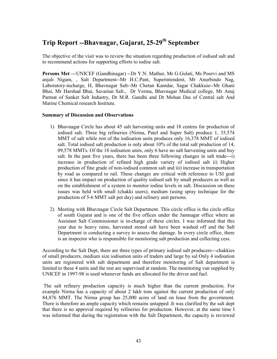# Trip Report --Bhavnagar, Gujarat, 25-29<sup>th</sup> September

The objective of the visit was to review the situation regarding production of iodised salt and to recommend actions for supporting efforts to iodise salt.

Persons Met ---UNICEF (Gandhinagar) --Dr Y.N. Mathur, Mr G.Gulati, Ms Poorvi and MS anjali Nigam, , Salt Department--Mr H.C.Pant, Superintendent, Mr Anurbindo Nag, Laboratory-incharge, H, Bhavnagar Salt--Mr Chetan Kamdar, Sagar Chakkuie--Mr Ghani Bhai, Mr Harshad Bhai, Savarian Salt., Dr Verma, Bhavnagar Medical college, Mr Anuj Parmat of Sanket Salt Industry, Dr M.R. Gandhi and Dr Mohan Das of Central salt And Marine Chemical research Institute.

### Summary of Discussion and Observations

- 1) Bhavnagar Circle has about 45 salt harvesting units and 18 centres for production of iodised salt. Three big refineries (Nirma, Patel and Super Salt) produce 1, 35,574 MMT of salt while rest of the iodisation units produces only 16,378 MMT of iodised salt. Total iodised salt production is only about 10% of the total salt production of 14, 09,578 MMTs. Of the 18 iodisation units, only 6 have no salt harvesting units and buy salt. In the past five years, there has been three following changes in salt trade---i) increase in production of refined high grade variety of iodised salt ii) Higher production of fine grade of non-iodised common salt and iii) increase in transportation by road as compared to rail. These changes are critical with reference to USI goal since it has impact on production of quality iodised salt by small producers as well as on the establishment of a system to monitor iodine levels in salt. Discussion on these issues was held with small (chakki users), medium (using spray technique for the production of 5-6 MMT salt per day) and refinery unit persons.
- 2) Meeting with Bhavnagar Circle Salt Department. This circle office is the circle office of south Gujarat and is one of the five offices under the Jamnagar office where an Assistant Salt Commissioner is in-charge of these circles. I was informed that this year due to heavy rains, harvested stored salt have been washed off and the Salt Department is conducting a survey to assess the damage. In every circle office, there is an inspector who is responsible for monitoring salt production and collecting cess.

According to the Salt Dept, there are three types of primary iodised salt producers---chakkies of small producers, medium size iodisation units of traders and large by sal Only 4 iodisation units are registered with salt department and therefore monitoring of Salt department is limited to these 4 units and the rest are supervised at random. The monitoring van supplied by UNICEF in 1997-98 is used whenever funds are allocated for the driver and fuel.

 The salt refinery production capacity is much higher than the current production. For example Nirma has a capacity of about 2 lakh tons against the current production of only 84,876 MMT. The Nirma group has 25,000 acres of land on lease from the government. There is therefore an ample capacity which remains untapped .It was clarified by the salt dept that there is no approval required by refineries for production. However, at the same time I was informed that during the registration with the Salt Department, the capacity is reviewed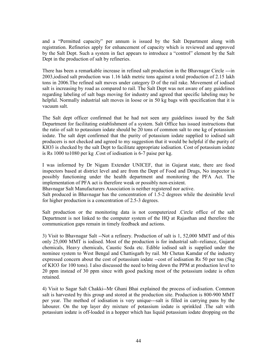and a "Permitted capacity" per annum is issued by the Salt Department along with registration. Refineries apply for enhancement of capacity which is reviewed and approved by the Salt Dept. Such a system in fact appears to introduce a "control" element by the Salt Dept in the production of salt by refineries.

There has been a remarkable increase in refined salt production in the Bhavnagar Circle ---in 2003,iodised salt production was 1.16 lakh metric tons against a total production of 2.15 lakh tons in 2006.The refined salt moves under category D of the rail rake. Movement of iodised salt is increasing by road as compared to rail. The Salt Dept was not aware of any guidelines regarding labeling of salt bags moving for industry and agreed that specific labeling may be helpful. Normally industrial salt moves in loose or in 50 kg bags with specification that it is vacuum salt.

The Salt dept officer confirmed that he had not seen any guidelines issued by the Salt Department for facilitating establishment of a system. Salt Office has issued instructions that the ratio of salt to potassium iodate should be 20 tons of common salt to one kg of potassium iodate. The salt dept confirmed that the purity of potassium iodate supplied to iodised salt producers is not checked and agreed to my suggestion that it would be helpful if the purity of KIO3 is checked by the salt Dept to facilitate appropriate iodisation. Cost of potassium iodate is Rs 1000 to1080 per kg .Cost of iodisation is 6-7 paise per kg.

I was informed by Dr Nigam Extender UNICEF, that in Gujarat state, there are food inspectors based at district level and are from the Dept of Food and Drugs, No inspector is possibly functioning under the health department and monitoring the PFA Act. The implementation of PFA act is therefore weak or possibly non-existent.

Bhavnagar Salt Manufacturers Association is neither registered nor active.

Salt produced in Bhavnagar has the concentration of 1.5-2 degrees while the desirable level for higher production is a concentration of 2.5-3 degrees.

Salt production or the monitoring data is not computerized .Circle office of the salt Department is not linked to the computer system of the HQ at Rajasthan and therefore the communication gaps remain in timely feedback and actions.

3) Visit to Bhavnagar Salt --Not a refinery. Production of salt is 1, 52,000 MMT and of this only 25,000 MMT is iodised. Most of the production is for industrial salt--reliance, Gujarat chemicals, Heavy chemicals, Caustic Soda etc. Edible iodised salt is supplied under the nominee system to West Bengal and Chattisgarh by rail. Mr Chetan Kamdar of the industry expressed concern about the cost of potassium iodate --cost of iodisation Rs 50 per ton (5kg of KIO3 for 100 tons). I also discussed the need to bring down the PPM at production level to 20 ppm instead of 30 ppm since with good packing most of the potassium iodate is often retained.

4) Visit to Sagar Salt Chakki--Mr Ghani Bhai explained the process of iodisation. Common salt is harvested by this group and stored at the production site. Production is 800-900 MMT per year. The method of iodisation is very unique---salt is filled in carrying pans by the labourer. On the top layer dry mixture of potassium iodate is sprinkled .The salt with potassium iodate is off-loaded in a hopper which has liquid potassium iodate dropping on the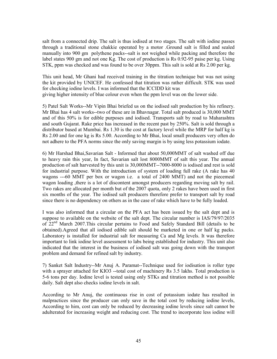salt from a connected drip. The salt is thus iodised at two stages. The salt with iodine passes through a traditional stone chakkie operated by a motor .Ground salt is filled and sealed manually into 900 gm polythene packs--salt is not weighed while packing and therefore the label states 900 gm and not one Kg. The cost of production is Rs 0.92-95 paise per kg. Using STK, ppm was checked and was found to be over 30ppm. This salt is sold at Rs 2.00 per kg.

This unit head, Mr Ghani had received training in the titration technique but was not using the kit provided by UNICEF. He confessed that titration was rather difficult. STK was used for checking iodine levels. I was informed that the ICCIDD kit was giving higher intensity of blue colour even when the ppm level was on the lower side.

5) Patel Salt Works--Mr Vipin Bhai briefed us on the iodised salt production by his refinery. Mr Bhai has 4 salt works--two of these are in Bhavnagar. Total salt produced is 30,000 MMT and of this 50% is for edible purposes and iodised. Transports salt by road to Maharashtra and south Gujarat. Rake price has increased in the recent past by 250%. Salt is sold through a distributor based at Mumbai. Rs 1.30 is the cost at factory level while the MRP for half kg is Rs 2.00 and for one kg is Rs 5.00. According to Mr Bhai, local small producers very often do not adhere to the PFA norms since the only saving margin is by using less potassium iodate.

6) Mr Harshad Bhai,Savarian Salt - Informed that about 50,000MMT of salt washed off due to heavy rain this year, In fact, Savarian salt lost 8000MMT of salt this year. The annual production of salt harvested by this unit is 30,000MMT--7000-8000 is iodised and rest is sold for industrial purpose. With the introduction of system of loading full rake (A rake has 40 wagons ---60 MMT per box or wagon i.e. a total of 2400 MMT) and not the piecemeal wagon loading ,there is a lot of discontent amongst producers regarding moving salt by rail. Two rakes are allocated per month but of the 2007 quota, only 2 rakes have been used in first six months of the year. The iodised salt producers therefore prefer to transport salt by road since there is no dependency on others as in the case of rake which have to be fully loaded.

I was also informed that a circular on the PFA act has been issued by the salt dept and is suppose to available on the website of the salt dept. The circular number is IAS/79/97/2035 of 22nd March 2007.This circular pertains to Food and Safely Standard Bill (details to be obtained).Agreed that all iodised edible salt should be marketed in one or half kg packs. Laboratory is installed for industrial salt for measuring Ca and Mg levels. It was therefore important to link iodine level assessment to labs being established for industry. This unit also indicated that the interest in the business of iodised salt was going down with the transport problem and demand for refined salt by industry.

7) Sanket Salt Industry--Mr Anuj A. Paramat--Technique used for iodisation is roller type with a sprayer attached for KIO3 --total cost of machinery Rs 3.5 lakhs. Total production is 5-6 tons per day. Iodine level is tested using only STKs and titration method is not possible daily. Salt dept also checks iodine levels in salt.

According to Mr Anuj, the continuous rise in cost of potassium iodate has resulted in malpractices since the producer can only save in the total cost by reducing iodine levels, According to him, cost can only be reduced by decreasing iodine levels since salt cannot be adulterated for increasing weight and reducing cost. The trend to incorporate less iodine will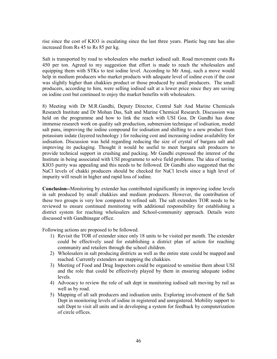rise since the cost of KIO3 is escalating since the last three years. Plastic bag rate has also increased from Rs 45 to Rs 85 per kg.

Salt is transported by road to wholesalers who market iodised salt. Road movement costs Rs 450 per ton. Agreed to my suggestion that effort is made to reach the wholesalers and equipping them with STKs to test iodine level. According to Mr Anuj, such a move would help in medium producers who market products with adequate level of iodine even if the cost was slightly higher than chakkies product or those produced by small producers. The small producers, according to him, were selling iodised salt at a lower price since they are saving on iodine cost but continued to enjoy the market benefits with wholesalers.

8) Meeting with Dr M.R.Gandhi, Deputy Director, Central Salt And Marine Chemicals Research Institute and Dr Mohan Das, Salt and Marine Chemical Research. Discussion was held on the programme and how to link the reach with USI Goa. Dr Gandhi has done immense research work on quality salt production, submersion technique of iodisation, model salt pans, improving the iodine compound for iodisation and shifting to a new product from potassium iodate (layered technology ) for reducing cost and increasing iodine availability for iodisation. Discussion was held regarding reducing the size of crystal of bargara salt and improving its packaging. Thought it would be useful to meet bargara salt producers to provide technical support in crushing and packing. Mr Gandhi expressed the interest of the Institute in being associated with USI programme to solve field problems. The idea of testing KIO3 purity was appealing and this needs to be followed. Dr Gandhi also suggested that the NaCl levels of chakki producers should be checked for NaCl levels since a high level of impurity will result in higher and rapid loss of iodine.

Conclusion--Monitoring by extender has contributed significantly in improving iodine levels in salt produced by small chakkies and medium producers. However, the contribution of these two groups is very low compared to refined salt. The salt extenders TOR needs to be reviewed to ensure continued monitoring with additional responsibility for establishing a district system for reaching wholesalers and School-community approach. Details were discussed with Gandhinagar office.

Following actions are proposed to be followed.

- 1) Revisit the TOR of extender since only 18 units to be visited per month. The extender could be effectively used for establishing a district plan of action for reaching community and retailers through the school children.
- 2) Wholesalers in salt producing districts as well as the entire state could be mapped and reached. Currently extenders are mapping the chakkies.
- 3) Meeting of Food and Drug Inspectors could be organized to sensitise them about USI and the role that could be effectively played by them in ensuring adequate iodine levels.
- 4) Advocacy to review the role of salt dept in monitoring iodised salt moving by rail as well as by road.
- 5) Mapping of all salt producers and iodisation units. Exploring involvement of the Salt Dept in monitoring levels of iodine in registered and unregistered. Mobility support to salt Dept to visit all units and in developing a system for feedback by computerization of circle offices.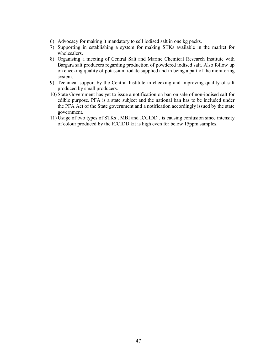6) Advocacy for making it mandatory to sell iodised salt in one kg packs.

.

- 7) Supporting in establishing a system for making STKs available in the market for wholesalers.
- 8) Organising a meeting of Central Salt and Marine Chemical Research Institute with Bargara salt producers regarding production of powdered iodised salt. Also follow up on checking quality of potassium iodate supplied and in being a part of the monitoring system.
- 9) Technical support by the Central Institute in checking and improving quality of salt produced by small producers.
- 10) State Government has yet to issue a notification on ban on sale of non-iodised salt for edible purpose. PFA is a state subject and the national ban has to be included under the PFA Act of the State government and a notification accordingly issued by the state government.
- 11) Usage of two types of STKs , MBI and ICCIDD , is causing confusion since intensity of colour produced by the ICCIDD kit is high even for below 15ppm samples.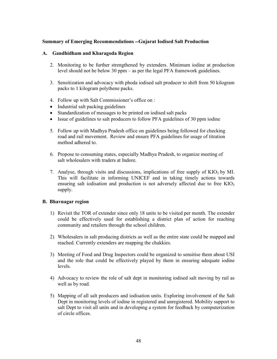### Summary of Emerging Recommendations --Gujarat Iodised Salt Production

#### A. Gandhidham and Kharagoda Region

- 2. Monitoring to be further strengthened by extenders. Minimum iodine at production level should not be below 30 ppm – as per the legal PFA framework guidelines.
- 3. Sensitization and advocacy with phoda iodised salt producer to shift from 50 kilogram packs to 1 kilogram polythene packs.
- 4. Follow up with Salt Commissioner's office on :
- Industrial salt packing guidelines
- Standardization of messages to be printed on iodised salt packs
- Issue of guidelines to salt producers to follow PFA guidelines of 30 ppm iodine
- 5. Follow up with Madhya Pradesh office on guidelines being followed for checking road and rail movement. Review and ensure PFA guidelines for usage of titration method adhered to.
- 6. Propose to consuming states, especially Madhya Pradesh, to organize meeting of salt wholesalers with traders at Indore.
- 7. Analyse, through visits and discussions, implications of free supply of  $KIO<sub>3</sub>$  by MI. This will facilitate in informing UNICEF and in taking timely actions towards ensuring salt iodisation and production is not adversely affected due to free  $KIO<sub>3</sub>$ supply.

#### B. Bhavnagar region

- 1) Revisit the TOR of extender since only 18 units to be visited per month. The extender could be effectively used for establishing a district plan of action for reaching community and retailers through the school children.
- 2) Wholesalers in salt producing districts as well as the entire state could be mapped and reached. Currently extenders are mapping the chakkies.
- 3) Meeting of Food and Drug Inspectors could be organized to sensitise them about USI and the role that could be effectively played by them in ensuring adequate iodine levels.
- 4) Advocacy to review the role of salt dept in monitoring iodised salt moving by rail as well as by road.
- 5) Mapping of all salt producers and iodisation units. Exploring involvement of the Salt Dept in monitoring levels of iodine in registered and unregistered. Mobility support to salt Dept to visit all units and in developing a system for feedback by computerization of circle offices.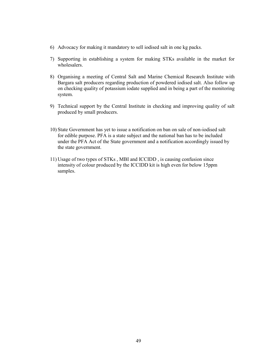- 6) Advocacy for making it mandatory to sell iodised salt in one kg packs.
- 7) Supporting in establishing a system for making STKs available in the market for wholesalers.
- 8) Organising a meeting of Central Salt and Marine Chemical Research Institute with Bargara salt producers regarding production of powdered iodised salt. Also follow up on checking quality of potassium iodate supplied and in being a part of the monitoring system.
- 9) Technical support by the Central Institute in checking and improving quality of salt produced by small producers.
- 10) State Government has yet to issue a notification on ban on sale of non-iodised salt for edible purpose. PFA is a state subject and the national ban has to be included under the PFA Act of the State government and a notification accordingly issued by the state government.
- 11) Usage of two types of STKs , MBI and ICCIDD , is causing confusion since intensity of colour produced by the ICCIDD kit is high even for below 15ppm samples.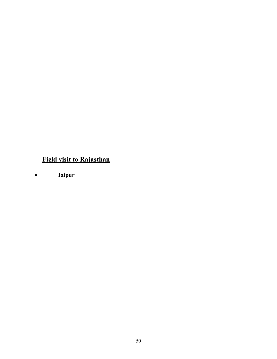# Field visit to Rajasthan

• Jaipur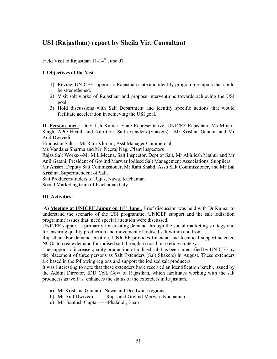# USI (Rajasthan) report by Sheila Vir, Consultant

Field Visit to Rajasthan  $11-14$ <sup>th</sup> June 07

# I Objectives of the Visit:

- 1) Review UNICEF support to Rajasthan state and identify programme inputs that could be strengthened.
- 2) Visit salt works of Rajasthan and propose interventions towards achieving the USI goal.
- 3) Hold discussions with Salt Department and identify specific actions that would facilitate acceleration in achieving the USI goal.

II. Persons met --Dr Satish Kumar, State Representative, UNICEF Rajasthan, Ms Minaxi Singh, APO Health and Nutrition, Salt extenders (Shakers) --Mr Krishna Gautam and Mr Anil Dwivedi.

Hindustan Salts---Mr Ram Khirani, Asst Manager Commercial

Ms Vandana Sharma and Mr. Neeraj Nag, .Plant Inspectors

Rajas Salt Works---Mr M.L.Meena, Salt Inspector, Dept of Salt, Mr Akhilesh Mathur and Mr Anil Gatani, President of Govind Marwar Iodised Salt Management Associations. Suppliers. Mr Ansari, Deputy Salt Commissioner, Mr Ram Shabd, Asstt Salt Commissioner, and Mr Bal

Krishna, Superintendent of Salt.

Salt Producers/traders of Rajas, Nawa, Kuchaman. Social Marketing team of Kuchaman City.

# III Activities:

A) Meeting at UNICEF Jaipur on  $11<sup>th</sup>$  June . Brief discussion was held with Dr Kumar to understand the scenario of the USI programme, UNICEF support and the salt iodisation programme issues that need special attention were discussed.

UNICEF support is primarily for creating demand through the social marketing strategy and for ensuring quality production and movement of iodised salt within and from

Rajasthan. For demand creation, UNICEF provides financial and technical support selected NGOs to create demand for iodised salt through a social marketing strategy.

The support to increase quality production of iodised salt has been intensified by UNICEF by the placement of three persons as Salt Extenders (Salt Shakers) in August. These extenders are based in the following regions and support the iodised salt producers.

It was interesting to note that these extenders have received an identification batch , issued by the Addtnl Director, IDD Cell, Govt of Rajasthan, which facilitates working with the salt producers as well as enhances the status of the extenders in Rajasthan.

- a) Mr Krishana Gautam--Nawa and Deedwana regions
- b) Mr Anil Dwivedi -------Rajas and Govind Marwar, Kuchaman
- c) Mr Santosh Gupta ------Phalaudi, Baap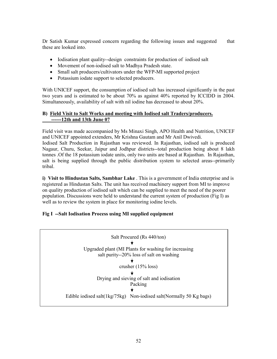Dr Satish Kumar expressed concern regarding the following issues and suggested that these are looked into.

- Iodisation plant quality--design constraints for production of iodised salt
- Movement of non-iodised salt to Madhya Pradesh state.
- Small salt producers/cultivators under the WFP-MI supported project
- Potassium iodate support to selected producers.

With UNICEF support, the consumption of iodised salt has increased significantly in the past two years and is estimated to be about 70% as against 40% reported by ICCIDD in 2004. Simultaneously, availability of salt with nil iodine has decreased to about 20%.

# B) Field Visit to Salt Works and meeting with Iodised salt Traders/producers. ------12th and 13th June 07

Field visit was made accompanied by Ms Minaxi Singh, APO Health and Nutrition, UNICEF and UNICEF appointed extenders, Mr Krishna Gautam and Mr Anil Dwivedi. Iodised Salt Production in Rajasthan was reviewed. In Rajasthan, iodised salt is produced Nagaur, Churu, Seekar, Jaipur and Jodhpur districts--total production being about 8 lakh tonnes .Of the 18 potassium iodate units, only two units are based at Rajasthan. In Rajasthan, salt is being supplied through the public distribution system to selected areas--primarily tribal.

i) Visit to Hindustan Salts, Sambhar Lake . This is a government of India enterprise and is registered as Hindustan Salts. The unit has received machinery support from MI to improve on quality production of iodised salt which can be supplied to meet the need of the poorer population. Discussions were held to understand the current system of production (Fig I) as well as to review the system in place for monitoring iodine levels.

# Fig I --Salt Iodisation Process using MI supplied equipment

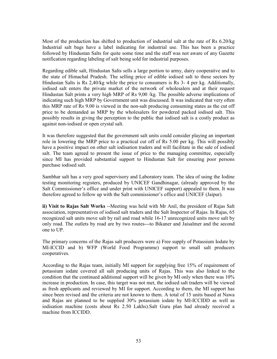Most of the production has shifted to production of industrial salt at the rate of Rs 6.20/kg Industrial salt bags have a label indicating for industrial use. This has been a practice followed by Hindustan Salts for quite some time and the staff was not aware of any Gazette notification regarding labeling of salt being sold for industrial purposes.

Regarding edible salt, Hindustan Salts sells a large portion to army, dairy cooperative and to the state of Himachal Pradesh. The selling price of edible iodised salt to these sectors by Hindustan Salts is Rs 2,40/kg while the price to consumers is Rs 3- 4 per kg. Additionally, iodised salt enters the private market of the network of wholesalers and at their request Hindustan Salt prints a very high MRP of Rs 9,00 /kg. The possible adverse implications of indicating such high MRP by Government unit was discussed. It was indicated that very often this MRP rate of Rs 9.00 is viewed in the non-salt producing consuming states as the cut off price to be demanded as MRP by the wholesalers for powdered packed iodised salt. This possibly results in giving the perception to the public that iodised salt is a costly product as against non-iodised or open crystal salt.

It was therefore suggested that the government salt units could consider playing an important role in lowering the MRP price to a practical cut off of Rs 5.00 per kg. This will possibly have a positive impact on other salt iodisation traders and will facilitate in the sale of iodised salt. The team agreed to present the issue of price to the managing committee, especially since MI has provided substantial support to Hindustan Salt for ensuring poor persons purchase iodised salt.

Sambhar salt has a very good supervisory and Laboratory team. The idea of using the Iodine testing monitoring registers, produced by UNICEF Gandhinagar, (already approved by the Salt Commissioner's office and under print with UNICEF support) appealed to them. It was therefore agreed to follow up with the Salt commissioner's office and UNICEF (Jaipur).

ii) Visit to Rajas Salt Works --Meeting was held with Mr Anil, the president of Rajas Salt association, representatives of iodised salt traders and the Salt Inspector of Rajas. In Rajas, 65 recognized salt units move salt by rail and road while 16-17 unrecognized units move salt by only road. The outlets by road are by two routes---to Bikaner and Jaisalmer and the second one to UP.

The primary concerns of the Rajas salt producers were a) Free supply of Potassium Iodate by MI-ICCID and b) WFP (World Food Programme) support to small salt producers cooperatives.

According to the Rajas team, initially MI support for supplying free 15% of requirement of potassium iodate covered all salt producing units of Rajas. This was also linked to the condition that the continued additional support will be given by MI only when there was 10% increase in production. In case, this target was not met, the iodised salt traders will be viewed as fresh applicants and reviewed by MI for support. According to them, the MI support has since been revised and the criteria are not known to them. A total of 15 units based at Nawa and Rajas are planned to be supplied 30% potassium iodate by MI-ICCIDD as well as iodisation machine (costs about Rs 2.50 Lakhs).Salt Guru plan had already received a machine from ICCIDD.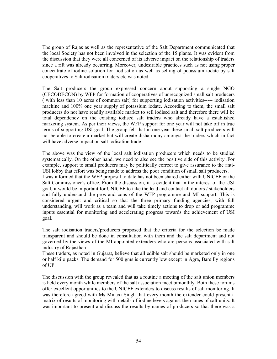The group of Rajas as well as the representative of the Salt Department communicated that the local Society has not been involved in the selection of the 15 plants. It was evident from the discussion that they were all concerned of its adverse impact on the relationship of traders since a rift was already occurring. Moreover, undesirable practices such as not using proper concentrate of iodine solution for iodisation as well as selling of potassium iodate by salt cooperatives to Salt iodisation traders etc was noted.

The Salt producers the group expressed concern about supporting a single NGO (CECODECON) by WFP for formation of cooperatives of unrecognized small salt producers ( with less than 10 acres of common salt) for supporting iodisation activities----- iodisation machine and 100% one year supply of potassium iodate. According to them, the small salt producers do not have readily available market to sell iodised salt and therefore there will be total dependency on the existing iodised salt traders who already have a established marketing system. As per their views, the WFP support for one year will not take off in true terms of supporting USI goal. The group felt that in one year these small salt producers will not be able to create a market but will create disharmony amongst the traders which in fact will have adverse impact on salt iodisation trade.

The above was the view of the local salt iodisation producers which needs to be studied systematically. On the other hand, we need to also see the positive side of this activity .For example, support to small producers may be politically correct to give assurance to the anti-USI lobby that effort was being made to address the poor condition of small salt producers. I was informed that the WFP proposal to date has not been shared either with UNICEF or the Salt Commissioner's office. From the discussion, it is evident that in the interest of the USI goal, it would be important for UNICEF to take the lead and contact all donors / stakeholders and fully understand the pros and cons of the WFP programme and MI support. This is considered urgent and critical so that the three primary funding agencies, with full understanding, will work as a team and will take timely actions to drop or add programme inputs essential for monitoring and accelerating progress towards the achievement of USI goal.

The salt iodisation traders/producers proposed that the criteria for the selection be made transparent and should be done in consultation with them and the salt department and not governed by the views of the MI appointed extenders who are persons associated with salt industry of Rajasthan.

These traders, as noted in Gujarat, believe that all edible salt should be marketed only in one or half kilo packs. The demand for 500 gms is currently low except in Agra, Bareilly regions of UP.

The discussion with the group revealed that as a routine a meeting of the salt union members is held every month while members of the salt association meet bimonthly. Both these forums offer excellent opportunities to the UNICEF extenders to discuss results of salt monitoring. It was therefore agreed with Ms Minaxi Singh that every month the extender could present a matrix of results of monitoring with details of iodine levels against the names of salt units. It was important to present and discuss the results by names of producers so that there was a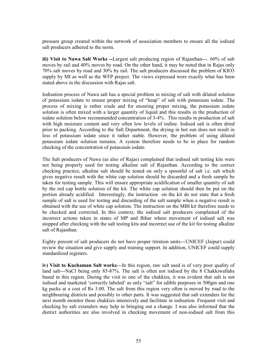pressure group created within the network of association members to ensure all the iodised salt producers adhered to the norm.

iii) Visit to Nawa Salt Works --Largest salt producing region of Rajasthan---. 60% of salt moves by rail and 40% moves by road. On the other hand, it may be noted that in Rajas only 70% salt moves by road and 30% by rail. The salt producers discussed the problem of KIO3 supply by MI as well as the WFP project. The views expressed were exactly what has been stated above in the discussion with Rajas salt.

Iodisation process of Nawa salt has a special problem in mixing of salt with diluted solution of potassium iodate to ensure proper mixing of "heap" of salt with potassium iodate. The process of mixing is rather crude and for ensuring proper mixing, the potassium iodate solution is often mixed with a larger quantity of liquid and this results in the production of iodate solution below recommended concentration of 3-4% . This results in production of salt with high moisture content and very often low levels of iodine. Iodised salt is often dried prior to packing. According to the Salt Department, the drying in hot sun does not result in loss of potassium iodate since it rather stable. However, the problem of using diluted potassium iodate solution remains. A system therefore needs to be in place for random checking of the concentration of potassium iodate.

The Salt producers of Nawa (as also of Rajas) complained that iodised salt testing kits were not being properly used for testing alkaline salt of Rajasthan. According to the correct checking practice, alkaline salt should be tested on only a spoonful of salt i.e. salt which gives negative result with the white cap solution should be discarded and a fresh sample be taken for testing sample. This will ensure appropriate acidification of smaller quantity of salt by the red cap bottle solution of the kit. The white cap solution should then be put on the portion already acidified. Interestingly, the instruction on the kit do not state that a fresh sample of salt is used for testing and discarding of the salt sample when a negative result is obtained with the use of white cap solution. The instruction on the MBI kit therefore needs to be checked and corrected. In this context, the iodised salt producers complained of the incorrect actions taken in states of MP and Bihar where movement of iodised salt was stopped after checking with the salt testing kits and incorrect use of the kit for testing alkaline salt of Rajasthan.

Eighty percent of salt producers do not have proper titration units---UNICEF (Jaipur) could review the situation and give supply and training support. In addition, UNICEF could supply standardized registers.

iv) Visit to Kuchaman Salt works---In this region, raw salt used is of very poor quality of land salt---NaCl being only 85-87%. The salt is often not iodised by the 8 Chakkiwallahs based in this region. During the visit to one of the chakkies, it was evident that salt is not iodised and marketed 'correctly labeled' as only "salt" for edible purposes in 500gm and one kg packs at a cost of Rs 3.00. The salt from this region very often is moved by road to the neighbouring districts and possibly to other parts. It was suggested that salt extenders for the next month monitor these chakkies intensively and facilitate in iodisation. Frequent visit and checking by salt extenders may help in bringing out a change. I was also informed that the district authorities are also involved in checking movement of non-iodised salt from this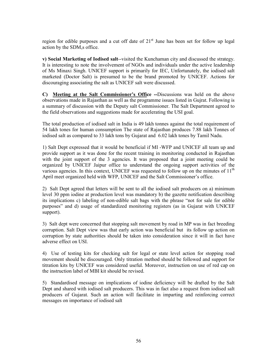region for edible purposes and a cut off date of  $21<sup>st</sup>$  June has been set for follow up legal action by the SDM,s office.

v) Social Marketing of Iodised salt--visited the Kunchaman city and discussed the strategy. It is interesting to note the involvement of NGOs and individuals under the active leadership of Ms Minaxi Singh. UNICEF support is primarily for IEC, Unfortunately, the iodised salt marketed (Doctor Salt) is presumed to be the brand promoted by UNICEF. Actions for discouraging associating the salt as UNICEF salt were discussed.

C) Meeting at the Salt Commissioner's Office --Discussions was held on the above observations made in Rajasthan as well as the programme issues listed in Gujrat. Following is a summary of discussion with the Deputy salt Commissioner. The Salt Department agreed to the field observations and suggestions made for accelerating the USI goal.

The total production of iodised salt in India is 49 lakh tonnes against the total requirement of 54 lakh tones for human consumption The state of Rajasthan produces 7.88 lakh Tonnes of iodised salt as compared to 33 lakh tons by Gujarat and 6.02 lakh tones by Tamil Nadu.

1) Salt Dept expressed that it would be beneficial if MI -WFP and UNICEF all team up and provide support as it was done for the recent training in monitoring conducted in Rajasthan with the joint support of the 3 agencies. It was proposed that a joint meeting could be organized by UNICEF Jaipur office to understand the ongoing support activities of the various agencies. In this context, UNICEF was requested to follow up on the minutes of  $11<sup>th</sup>$ April meet organized held with WFP, UNICEF and the Salt Commissioner's office.

2) Salt Dept agreed that letters will be sent to all the iodised salt producers on a) minimum level 30 ppm iodine at production level was mandatory b) the gazette notification describing its implications c) labeling of non-edible salt bags with the phrase "not for sale for edible purposes" and d) usage of standardized monitoring registers (as in Gujarat with UNICEF support).

3) Salt dept were concerned that stopping salt movement by road in MP was in fact breeding corruption. Salt Dept view was that early action was beneficial but its follow up action on corruption by state authorities should be taken into consideration since it will in fact have adverse effect on USI.

4) Use of testing kits for checking salt for legal or state level action for stopping road movement should be discouraged. Only titration method should be followed and support for titration kits by UNICEF was considered useful. Moreover, instruction on use of red cap on the instruction label of MBI kit should be revised.

5) Standardised message on implications of iodine deficiency will be drafted by the Salt Dept and shared with iodised salt producers. This was in fact also a request from iodised salt producers of Gujarat. Such an action will facilitate in imparting and reinforcing correct messages on importance of iodised salt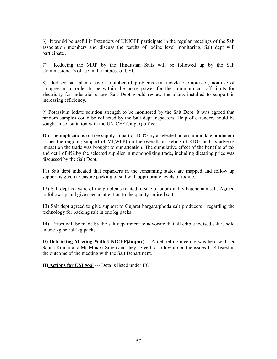6) It would be useful if Extenders of UNICEF participate in the regular meetings of the Salt association members and discuss the results of iodine level monitoring, Salt dept will participate .

7) Reducing the MRP by the Hindustan Salts will be followed up by the Salt Commissioner's office in the interest of USI.

8) Iodised salt plants have a number of problems e.g. nozzle. Compressor, non-use of compressor in order to be within the horse power for the minimum cut off limits for electricity for industrial usage. Salt Dept would review the plants installed to support in increasing efficiency.

9) Potassium iodate solution strength to be monitored by the Salt Dept. It was agreed that random samples could be collected by the Salt dept inspectors. Help of extenders could be sought in consultation with the UNICEF (Jaipur) office.

10) The implications of free supply in part or 100% by a selected potassium iodate producer ( as per the ongoing support of MI,WFP) on the overall marketing of KIO3 and its adverse impact on the trade was brought to our attention. The cumulative effect of the benefits of tax and octri of 4% by the selected supplier in monopolizing trade, including dictating price was discussed by the Salt Dept.

11) Salt dept indicated that repackers in the consuming states are mapped and follow up support is given to ensure packing of salt with appropriate levels of iodine.

12) Salt dept is aware of the problems related to sale of poor quality Kucheman salt. Agreed to follow up and give special attention to the quality iodised salt.

13) Salt dept agreed to give support to Gujarat bargara/phoda salt producers regarding the technology for packing salt in one kg packs.

14) Effort will be made by the salt department to advocate that all edible iodised salt is sold in one kg or half kg packs.

D) Debriefing Meeting With UNICEF(Jaipur) -- A debriefing meeting was held with Dr Satish Kumar and Ms Minaxi Singh and they agreed to follow up on the issues 1-14 listed in the outcome of the meeting with the Salt Department.

II) Actions for USI goal --- Details listed under IIC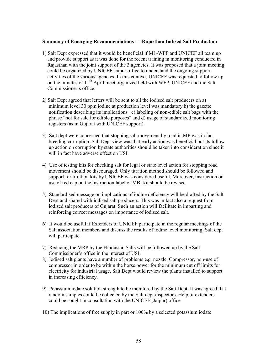#### Summary of Emerging Recommendations ----Rajasthan Iodised Salt Production

- 1) Salt Dept expressed that it would be beneficial if MI -WFP and UNICEF all team up and provide support as it was done for the recent training in monitoring conducted in Rajasthan with the joint support of the 3 agencies. It was proposed that a joint meeting could be organized by UNICEF Jaipur office to understand the ongoing support activities of the various agencies. In this context, UNICEF was requested to follow up on the minutes of  $11<sup>th</sup>$  April meet organized held with WFP, UNICEF and the Salt Commissioner's office.
- 2) Salt Dept agreed that letters will be sent to all the iodised salt producers on a) minimum level 30 ppm iodine at production level was mandatory b) the gazette notification describing its implications c) labeling of non-edible salt bags with the phrase "not for sale for edible purposes" and d) usage of standardized monitoring registers (as in Gujarat with UNICEF support).
- 3) Salt dept were concerned that stopping salt movement by road in MP was in fact breeding corruption. Salt Dept view was that early action was beneficial but its follow up action on corruption by state authorities should be taken into consideration since it will in fact have adverse effect on USI.
- 4) Use of testing kits for checking salt for legal or state level action for stopping road movement should be discouraged. Only titration method should be followed and support for titration kits by UNICEF was considered useful. Moreover, instruction on use of red cap on the instruction label of MBI kit should be revised
- 5) Standardised message on implications of iodine deficiency will be drafted by the Salt Dept and shared with iodised salt producers. This was in fact also a request from iodised salt producers of Gujarat. Such an action will facilitate in imparting and reinforcing correct messages on importance of iodised salt.
- 6) It would be useful if Extenders of UNICEF participate in the regular meetings of the Salt association members and discuss the results of iodine level monitoring, Salt dept will participate.
- 7) Reducing the MRP by the Hindustan Salts will be followed up by the Salt Commissioner's office in the interest of USI.

.

- 8) Iodised salt plants have a number of problems e.g. nozzle. Compressor, non-use of compressor in order to be within the horse power for the minimum cut off limits for electricity for industrial usage. Salt Dept would review the plants installed to support in increasing efficiency.
- 9) Potassium iodate solution strength to be monitored by the Salt Dept. It was agreed that random samples could be collected by the Salt dept inspectors. Help of extenders could be sought in consultation with the UNICEF (Jaipur) office.
- 10) The implications of free supply in part or 100% by a selected potassium iodate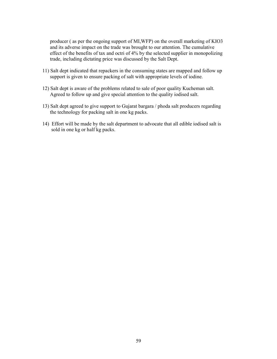producer ( as per the ongoing support of MI,WFP) on the overall marketing of KIO3 and its adverse impact on the trade was brought to our attention. The cumulative effect of the benefits of tax and octri of 4% by the selected supplier in monopolizing trade, including dictating price was discussed by the Salt Dept.

- 11) Salt dept indicated that repackers in the consuming states are mapped and follow up support is given to ensure packing of salt with appropriate levels of iodine.
- 12) Salt dept is aware of the problems related to sale of poor quality Kucheman salt. Agreed to follow up and give special attention to the quality iodised salt.
- 13) Salt dept agreed to give support to Gujarat bargara / phoda salt producers regarding the technology for packing salt in one kg packs.
- 14) Effort will be made by the salt department to advocate that all edible iodised salt is sold in one kg or half kg packs.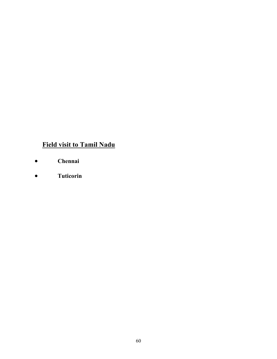# Field visit to Tamil Nadu

- Chennai
- Tuticorin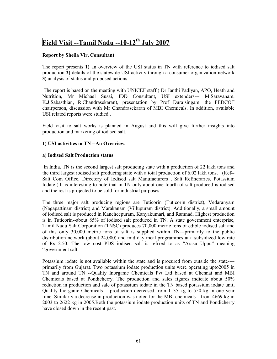# Field Visit --Tamil Nadu --10-12<sup>th</sup> July 2007

# Report by Sheila Vir, Consultant

The report presents 1) an overview of the USI status in TN with reference to iodised salt production 2) details of the statewide USI activity through a consumer organization network 3) analysis of status and proposed actions.

 The report is based on the meeting with UNICEF staff ( Dr Janthi Padiyan, APO, Heath and Nutrition, Mr Michael Susai, IDD Consultant, USI extenders--- M.Saravanam, K.J.Sabasthian, R.Chandrasekaran), presentation by Prof Duraisingam, the FEDCOT chairperson, discussion with Mr Chandrasekaran of MBI Chemicals. In addition, available USI related reports were studied .

Field visit to salt works is planned in August and this will give further insights into production and marketing of iodised salt.

## 1) USI activities in TN --An Overview.

### a) Iodised Salt Production status

 In India, TN is the second largest salt producing state with a production of 22 lakh tons and the third largest iodised salt producing state with a total production of 6.02 lakh tons. (Ref-- Salt Com Office, Directory of Iodised salt Manufacturers , Salt Refineraries, Potassium Iodate ).It is interesting to note that in TN only about one fourth of salt produced is iodised and the rest is projected to be sold for industrial purposes.

The three major salt producing regions are Tuticorin (Tuticorin district), Vedaranyam (Nagapattinam district) and Marakanam (Villupuram district). Additionally, a small amount of iodised salt is produced in Kancheepuram, Kanyakumari, and Ramnad. Highest production is in Tuticorin--about 85% of iodised salt produced in TN. A state government enterprise, Tamil Nadu Salt Corporation (TNSC) produces 70,000 metric tons of edible iodised salt and of this only 30,000 metric tons of salt is supplied within TN---primarily to the public distribution network (about 24,000) and mid-day meal programmes at a subsidized low rate of Rs 2.50. The low cost PDS iodised salt is refrred to as "Arasu Uppu" meaning "government salt.

Potassium iodate is not available within the state and is procured from outside the state--- primarily from Gujarat. Two potassium iodate production units were operating upto2005 in TN and around TN --Quality Inorganic Chemicals Pvt Ltd based at Chennai and MBI Chemicals based at Pondicherry. The production and sales figures indicate about 50% reduction in production and sale of potassium iodate in the TN based potassium iodate unit, Quality Inorganic Chemicals ---production decreased from 1135 kg to 550 kg in one year time. Similarly a decrease in production was noted for the MBI chemicals---from 4669 kg in 2003 to 2622 kg in 2005.Both the potassium iodate production units of TN and Pondicherry have closed down in the recent past.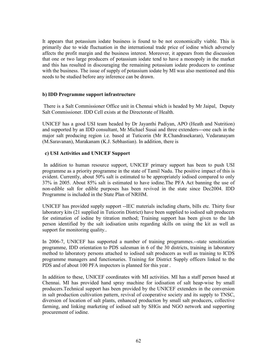It appears that potassium iodate business is found to be not economically viable. This is primarily due to wide fluctuation in the international trade price of iodine which adversely affects the profit margin and the business interest. Moreover, it appears from the discussion that one or two large producers of potassium iodate tend to have a monopoly in the market and this has resulted in discouraging the remaining potassium iodate producers to continue with the business. The issue of supply of potassium iodate by MI was also mentioned and this needs to be studied before any inference can be drawn.

### b) IDD Programme support infrastructure

 There is a Salt Commissioner Office unit in Chennai which is headed by Mr Jaipal, Deputy Salt Commissioner. IDD Cell exists at the Directorate of Health.

UNICEF has a good USI team headed by Dr Jayanthi Padiyan, APO (Heath and Nutrition) and supported by an IDD consultant, Mr Michael Susai and three extenders---one each in the major salt producing region i.e. based at Tuticorin (Mr R.Chandrasekaran), Vedaranayam (M.Saravanan), Marakanam (K.J. Sebhastian). In addition, there is

### c) USI Activities and UNICEF Support

 In addition to human resource support, UNICEF primary support has been to push USI programme as a priority programme in the state of Tamil Nadu. The positive impact of this is evident. Currently, about 50% salt is estimated to be appropriately iodised compared to only 37% in 2005. About 85% salt is estimated to have iodine.The PFA Act banning the use of non-edible salt for edible purposes has been revived in the state since Dec2004. IDD Programme is included in the State Plan of NRHM.

UNICEF has provided supply support --IEC materials including charts, bills etc. Thirty four laboratory kits (21 supplied in Tuticorin District) have been supplied to iodised salt producers for estimation of iodine by titration method; Training support has been given to the lab person identified by the salt iodisation units regarding skills on using the kit as well as support for monitoring quality..

In 2006-7, UNICEF has supported a number of training programmes.--state sensitization programme, IDD orientation to PDS salesman in 6 of the 30 districts, training in laboratory method to laboratory persons attached to iodised salt producers as well as training to ICDS programme managers and functionaries. Training for District Supply officers linked to the PDS and of about 100 PFA inspectors is planned for this year .

In addition to these, UNICEF coordinates with MI activities. MI has a staff person based at Chennai. MI has provided hand spray machine for iodisation of salt heap-wise by small producers.Technical support has been provided by the UNICEF extenders in the conversion in salt production cultivation pattern, revival of cooperative society and its supply to TNSC, diversion of location of salt plants, enhanced production by small salt producers, collective farming, and linking marketing of iodised salt by SHGs and NGO network and supporting procurement of iodine.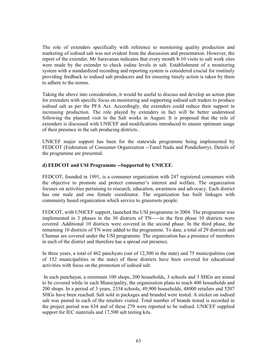The role of extenders specifically with reference to monitoring quality production and marketing of iodised salt was not evident from the discussion and presentation. However, the report of the extender, Mr Saravanan indicates that every month 8-10 visits to salt work sites were made by the extender to check iodine levels in salt. Establishment of a monitoring system with a standardized recording and reporting system is considered crucial for routinely providing feedback to iodised salt producers and for ensuring timely action is taken by them to adhere to the norms.

Taking the above into consideration, it would be useful to discuss and develop an action plan for extenders with specific focus on monitoring and supporting iodised salt traders to produce iodised salt as per the PFA Act. Accordingly, the extenders could reduce their support in increasing production. The role played by extenders in fact will be better understood following the planned visit to the Salt works in August. It is proposed that the role of extenders is discussed with UNICEF and modifications introduced to ensure optimum usage of their presence in the salt producing districts..

UNICEF major support has been for the statewide programme being implemented by FEDCOT (Federation of Consumer Organization --Tamil Nadu and Pondicherry). Details of the programme are presented.

### d) FEDCOT and USI Programme --Supported by UNICEF.

FEDCOT, founded in 1991, is a consumer organization with 247 registered consumers with the objective to promote and protect consumer's interest and welfare. The organization focuses on activities pertaining to research, education, awareness and advocacy. Each district has one male and one female coordinator. The organization has built linkages with community based organization which service to grassroots people.

FEDCOT, with UNICEF support, launched the USI programme in 2004. The programme was implemented in 3 phases in the 30 districts of TN-----in the first phase 10 districts were covered .Additional 10 districts were covered in the second phase. In the third phase, the remaining 10 districts of TN were added to the programme. To date, a total of 29 districts and Chennai are covered under the USI programme. The organization has a presence of members in each of the district and therefore has a spread out presence.

In three years, a total of 462 panchyats (out of 12,300 in the state) and 75 municipalities (out of 152 municipalities in the state) of these districts have been covered for educational activities with focus on the promotion of iodised salt.

 In each panchayat, a minimum 100 shops, 200 households, 3 schools and 3 SHGs are aimed to be covered while in each Municipality, the organization plans to reach 400 households and 200 shops. In a period of 3 years, 2334 schools, 49,900 households, 48000 retailers and 5207 SHGs have been reached. Salt sold in packages and branded were tested. A sticker on iodised salt was pasted in each of the retailers visited. Total number of brands tested is recorded in the project period was 634 and of these 279 were reported to be iodised. UNICEF supplied support for IEC materials and 17,500 salt testing kits.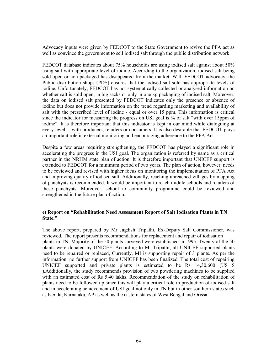Advocacy inputs were given by FEDCOT to the State Government to revive the PFA act as well as convince the government to sell iodised salt through the public distribution network.

FEDCOT database indicates about 75% households are using iodised salt against about 50% using salt with appropriate level of iodine. According to the organization, iodised salt being sold open or non-packaged has disappeared from the market. With FEDCOT advocacy, the Public distribution shops (PDS) ensures that the iodised salt sold has appropriate levels of iodine. Unfortunately, FEDCOT has not systematically collected or analysed information on whether salt is sold open, in big sacks or only in one kg packaging of iodised salt. Moreover, the data on iodised salt presented by FEDCOT indicates only the presence or absence of iodine but does not provide information on the trend regarding marketing and availability of salt with the prescribed level of iodine - equal or over 15 ppm. This information is critical since the indicator for measuring the progress on USI goal is % of salt "with over 15ppm of iodine". It is therefore important that this indicator is kept in our mind while dialoguing at every level ---with producers, retailers or consumers. It is also desirable that FEDCOT plays an important role in external monitoring and encouraging adherence to the PFA Act.

Despite a few areas requiring strengthening, the FEDCOT has played a significant role in accelerating the progress in the USI goal. The organization is referred by name as a critical partner in the NRHM state plan of action. It is therefore important that UNICEF support is extended to FEDCOT for a minimum period of two years. The plan of action, however, needs to be reviewed and revised with higher focus on monitoring the implementation of PFA Act and improving quality of iodised salt. Additionally, reaching unreached villages by mapping of panchyats is recommended. It would be important to reach middle schools and retailers of these panchyats. Moreover, school to community programme could be reviewed and strengthened in the future plan of action.

### e) Report on "Rehabilitation Need Assessment Report of Salt Iodisation Plants in TN State."

The above report, prepared by Mr Jagdish Tripathi, Ex-Deputy Salt Commissioner, was reviewed. The report presents recommendations for replacement and repair of iodisation plants in TN. Majority of the 50 plants surveyed were established in 1995. Twenty of the 50 plants were donated by UNICEF. According to Mr Tripathi, all UNICEF supported plants need to be repaired or replaced, Currently, MI is supporting repair of 3 plants. As per the information, no further support from UNICEF has been finalized. The total cost of repairing UNICEF supported and private plants is estimated to be Rs 14,30,600 (US \$ ).Additionally, the study recommends provision of two powdering machines to be supplied with an estimated cost of Rs 5.40 lakhs. Recommendation of the study on rehabilitation of plants need to be followed up since this will play a critical role in production of iodised salt and in accelerating achievement of USI goal not only in TN but in other southern states such as Kerala, Karnataka, AP as well as the eastern states of West Bengal and Orissa.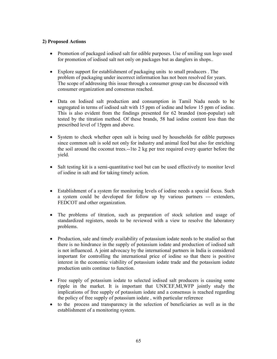# 2) Proposed Actions

- Promotion of packaged iodised salt for edible purposes. Use of smiling sun logo used for promotion of iodised salt not only on packages but as danglers in shops..
- Explore support for establishment of packaging units to small producers . The problem of packaging under incorrect information has not been resolved for years. The scope of addressing this issue through a consumer group can be discussed with consumer organization and consensus reached.
- Data on Iodised salt production and consumption in Tamil Nadu needs to be segregated in terms of iodised salt with 15 ppm of iodine and below 15 ppm of iodine. This is also evident from the findings presented for 62 branded (non-popular) salt tested by the titration method. Of these brands, 58 had iodine content less than the prescribed level of 15ppm and above.
- System to check whether open salt is being used by households for edible purposes since common salt is sold not only for industry and animal feed but also for enriching the soil around the coconut trees.--1to 2 kg per tree required every quarter before the yield.
- Salt testing kit is a semi-quantitative tool but can be used effectively to monitor level of iodine in salt and for taking timely action.
- Establishment of a system for monitoring levels of iodine needs a special focus. Such a system could be developed for follow up by various partners --- extenders, FEDCOT and other organization.
- The problems of titration, such as preparation of stock solution and usage of standardized registers, needs to be reviewed with a view to resolve the laboratory problems.
- Production, sale and timely availability of potassium iodate needs to be studied so that there is no hindrance in the supply of potassium iodate and production of iodised salt is not influenced. A joint advocacy by the international partners in India is considered important for controlling the international price of iodine so that there is positive interest in the economic viability of potassium iodate trade and the potassium iodate production units continue to function.
- Free supply of potassium iodate to selected iodised salt producers is causing some ripple in the market. It is important that UNICEF,MI,WFP jointly study the implications of free supply of potassium iodate and a consensus is reached regarding the policy of free supply of potassium iodate , with particular reference
- to the process and transparency in the selection of beneficiaries as well as in the establishment of a monitoring system.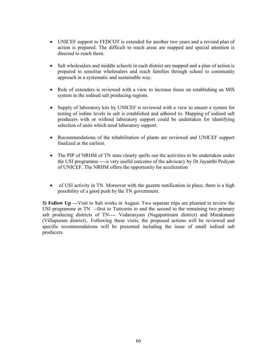- UNICEF support to FEDCOT is extended for another two years and a revised plan of action is prepared. The difficult to reach areas are mapped and special attention is directed to reach them.
- Salt wholes all estimate in each district are mapped and a plan of action is prepared to sensitise wholesalers and reach families through school to community approach in a systematic and sustainable way.
- Role of extenders is reviewed with a view to increase focus on establishing an MIS system in the iodised salt producing regions.
- Supply of laboratory kits by UNICEF is reviewed with a view to ensure a system for testing of iodine levels in salt is established and adhered to. Mapping of iodised salt producers with or without laboratory support could be undertaken for identifying selection of units which need laboratory support.
- Recommendations of the rehabilitation of plants are reviewed and UNICEF support finalized at the earliest.
- The PIP of NRHM of TN state clearly spells out the activities to be undertaken under the USI programme ----a very useful outcome of the advocacy by Dr Jayanthi Pediyan of UNICEF. The NRHM offers the opportunity for acceleration
- of USI activity in TN. Moreover with the gazette notification in place, there is a high possibility of a good push by the TN government.

3) Follow Up ---Visit to Salt works in August. Two separate trips are planned to review the USI programme in TN --first to Tuticorin to and the second to the remaining two primary salt producing districts of TN---- Vedaranyam (Nagapattinam district) and Marakanam (Villupuram district).. Following these visits, the proposed actions will be reviewed and specific recommendations will be presented including the issue of small iodised salt producers.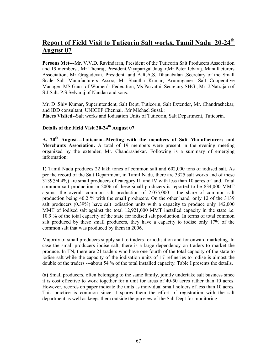# Report of Field Visit to Tuticorin Salt works, Tamil Nadu 20-24<sup>th</sup> August 07

Persons Met---Mr. V.V.D. Ravindaran, President of the Tuticorin Salt Producers Association and 19 members , Mr Thenraj, President,Viyaparigal Jaugar,Mr Peter Jebaraj, Manufacturers Association, Mr Gragadevai, President, and A.R.A.S. Dhanabalan ,Secretary of the Small Scale Salt Manufacturers Assoc, Mr Shantha Kumar, Arumuganeri Salt Cooperative Manager, MS Gauri of Women's Federation, Ms Parvathi, Secretary SHG , Mr. J.Natrajan of S.J.Salt. P.S.Selvaraj of Nandan and sons.

Mr. D .Shiv Kumar, Superintendent, Salt Dept, Tuticorin, Salt Extender, Mr. Chandrashekar, and IDD consultant, UNICEF Chennai. .Mr Michael Susai.: Places Visited--Salt works and Iodisation Units of Tuticorin, Salt Department, Tuticorin.

# Details of the Field Visit 20-24<sup>th</sup> August 07

A. 20<sup>th</sup> August---Tuticorin--Meeting with the members of Salt Manufacturers and Merchants Association. A total of 19 members were present in the evening meeting organized by the extender, Mr. Chandrashekar. Following is a summary of emerging information:

1) Tamil Nadu produces 22 lakh tones of common salt and 602,000 tons of iodised salt. As per the record of the Salt Department, in Tamil Nadu, there are 3325 salt works and of these 3139(94.4%) are small producers of category III and IV with less than 10 acres of land. Total common salt production in 2006 of these small producers is reported to be 834,000 MMT against the overall common salt production of 2,075,000 ---the share of common salt production being 40.2 % with the small producers. On the other hand, only 12 of the 3139 salt producers (0.39%) have salt iodisation units with a capacity to produce only 142,000 MMT of iodised salt against the total 12,921,000 MMT installed capacity in the state i.e. 10.9 % of the total capacity of the state for iodised salt production. In terms of total common salt produced by these small producers, they have a capacity to iodise only 17% of the common salt that was produced by them in 2006.

Majority of small producers supply salt to traders for iodisation and for onward marketing. In case the small producers iodise salt, there is a large dependency on traders to market the produce. In TN, there are 21 traders who have one fourth of the total capacity of the state to iodise salt while the capacity of the iodisation units of 17 refineries to iodise is almost the double of the traders ---about 54 % of the total installed capacity. Table I presents the details.

(a) Small producers, often belonging to the same family, jointly undertake salt business since it is cost effective to work together for a unit for areas of 40-50 acres rather than 10 acres. However, records on paper indicate the units as individual small holders of less than 10 acres. This practice is common since it spares them the effort of registration with the salt department as well as keeps them outside the purview of the Salt Dept for monitoring.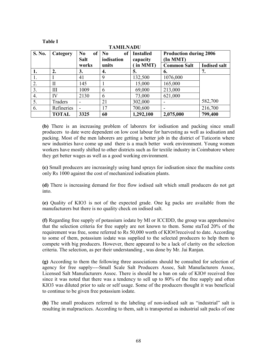#### Table I

| <b>TAMILNADU</b> |              |                                                  |                                    |                              |                                          |                     |
|------------------|--------------|--------------------------------------------------|------------------------------------|------------------------------|------------------------------------------|---------------------|
| S. No.           | Category     | N <sub>0</sub><br>of <sub>1</sub><br><b>Salt</b> | of<br>N <sub>0</sub><br>iodisation | <b>Installed</b><br>capacity | <b>Production during 2006</b><br>In MMT) |                     |
|                  |              | works                                            | units                              | in MMT)                      | <b>Common Salt</b>                       | <b>Iodised salt</b> |
| 1.               | 2.           | 3.                                               | 4.                                 | 5.                           | 6.                                       | 7.                  |
|                  |              | 41                                               | 9                                  | 132,500                      | 1076,000                                 |                     |
| 2.               | H            | 145                                              |                                    | 15,000                       | 165,000                                  |                     |
| 3.               | Ш            | 1009                                             | 6                                  | 69,000                       | 213,000                                  |                     |
| 4.               | IV           | 2130                                             | 6                                  | 73,000                       | 621,000                                  |                     |
| 5.               | Traders      | -                                                | 21                                 | 302,000                      |                                          | 582,700             |
| 6.               | Refineries   | -                                                | 17                                 | 700,600                      |                                          | 216,700             |
|                  | <b>TOTAL</b> | 3325                                             | 60                                 | 1,292,100                    | 2,075,000                                | 799,400             |

(b) There is an increasing problem of laborers for iodisation and packing since small producers to date were dependent on low cost labour for harvesting as well as iodisation and packing. Most of the men laborers are getting a better job in the district of Tuticorin where new industries have come up and there is a much better work environment. Young women workers have mostly shifted to other districts such as for textile industry in Coimbatore where they get better wages as well as a good working environment.

(c) Small producers are increasingly using hand sprays for iodisation since the machine costs only Rs 1000 against the cost of mechanized iodisation plants.

(d) There is increasing demand for free flow iodised salt which small producers do not get into.

(e) Quality of KIO3 is not of the expected grade. One kg packs are available from the manufacturers but there is no quality check on iodised salt.

(f) Regarding free supply of potassium iodate by MI or ICCIDD, the group was apprehensive that the selection criteria for free supply are not known to them. Some staTed 20% of the requirement was free, some referred to Rs 50,000 worth of KIO#3received to date. According to some of them, potassium iodate was supplied to the selected producers to help them to compete with big producers. However, there appeared to be a lack of clarity on the selection criteria. The selection, as per their understanding , was done by Mr. Jai Ranjan.

(g) According to them the following three associations should be consulted for selection of agency for free supply----Small Scale Salt Producers Assoc, Salt Manufacturers Assoc, Licensed Salt Manufacturers Assoc. There is should be a ban on sale of KIO# received free since it was noted that there was a tendency to sell up to 80% of the free supply and often KIO3 was diluted prior to sale or self usage. Some of the producers thought it was beneficial to continue to be given free potassium iodate.

(h) The small producers referred to the labeling of non-iodised salt as "industrial" salt is resulting in malpractices. According to them, salt is transported as industrial salt packs of one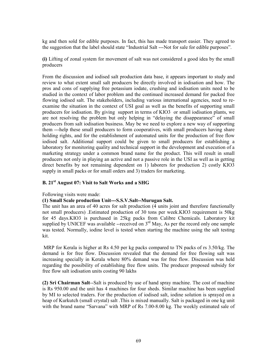kg and then sold for edible purposes. In fact, this has made transport easier. They agreed to the suggestion that the label should state "Industrial Salt ---Not for sale for edible purposes".

(i) Lifting of zonal system for movement of salt was not considered a good idea by the small producers

From the discussion and iodised salt production data base, it appears important to study and review to what extent small salt producers be directly involved in iodisation and how. The pros and cons of supplying free potassium iodate, crushing and iodisation units need to be studied in the context of labor problem and the continued increased demand for packed free flowing iodised salt. The stakeholders, including various international agencies, need to reexamine the situation in the context of USI goal as well as the benefits of supporting small producers for iodisation. By giving support in terms of KIO3 or small iodisation plants, we are not resolving the problem but only helping in "delaying the disappearance" of small producers from salt iodisation business. May be we need to explore a new way of supporting them ---help these small producers to form cooperatives, with small producers having share holding rights, and for the establishment of automated units for the production of free flow iodised salt. Additional support could be given to small producers for establishing a laboratory for monitoring quality and technical support in the development and execution of a marketing strategy under a common brand name for the product. This will result in small producers not only in playing an active and not a passive role in the USI as well as in getting direct benefits by not remaining dependent on 1) laborers for production 2) costly KIO3 supply in small packs or for small orders and 3) traders for marketing.

## B. 21<sup>st</sup> August 07: Visit to Salt Works and a SHG

Following visits were made:

#### (1) Small Scale production Unit---S.S.V.Salt--Murugan Salt.

The unit has an area of 40 acres for salt production (4 units joint and therefore functionally not small producers) .Estimated production of 30 tons per week.KIO3 requirement is 50kg for 45 days.KIO3 is purchased in 25kg packs from Calibre Chemicals. Laboratory kit supplied by UNICEF was available --received on  $3<sup>rd</sup>$  May, As per the record only one sample was tested. Normally, iodine level is tested when starting the machine using the salt testing kit.

 MRP for Kerala is higher at Rs 4.50 per kg packs compared to TN packs of rs 3.50/kg. The demand is for free flow. Discussion revealed that the demand for free flowing salt was increasing specially in Kerala where 80% demand was for free flow. Discussion was held regarding the possibility of establishing free flow units. The producer proposed subsidy for free flow salt iodisation units costing 90 lakhs

(2) Sri Chairman Salt--Salt is produced by use of hand spray machine. The cost of machine is Rs 950.00 and the unit has 4 machines for four sheds. Similar machine has been supplied by MI to selected traders. For the production of iodised salt, iodine solution is sprayed on a heap of Kurkutch (small crystal) salt .This is mixed manually. Salt is packaged in one kg unit with the brand name "Sarvana" with MRP of Rs 7.00-8.00 kg. The weekly estimated sale of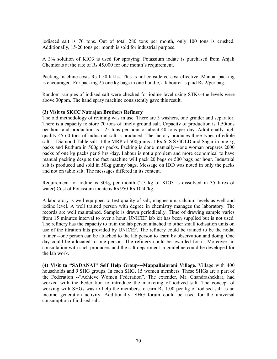iodiseed salt is 70 tons. Out of total 280 tons per month, only 100 tons is crushed. Additionally, 15-20 tons per month is sold for industrial purpose.

A 3% solution of KIO3 is used for spraying. Potassium iodate is purchased from Anjali Chemicals at the rate of Rs 45,000 for one month's requirement.

Packing machine costs Rs 1.50 lakhs. This is not considered cost-effective .Manual packing is encouraged. For packing 25 one kg bags in one bundle, a labourer is paid Rs 2/per bag.

Random samples of iodised salt were checked for iodine level using STKs--the levels were above 30ppm. The hand spray machine consistently gave this result.

#### (3) Visit to SKCC Natrajan Brothers Refinery

The old methodology of refining was in use. There are 3 washers, one grinder and separator. There is a capacity to store 70 tons of finely ground salt. Capacity of production is 1.50tons per hour and production is 1.25 tons per hour or about 40 tons per day. Additionally high quality 45-60 tons of industrial salt is produced .The factory produces three types of edible salt--- Diamond Table salt at the MRP of 500grams at Rs 6, S.S.GOLD and Sagar in one kg packs and Ruthura in 500gms packs. Packing is done manually---one woman prepares 2000 packs of one kg packs per 8 hrs /day. Labour is not a problem and more economical to have manual packing despite the fact machine will pack 20 bags or 500 bags per hour. Industrial salt is produced and sold in 50kg gunny bags. Message on IDD was noted in only the packs and not on table salt. The messages differed in its content.

Requirement for iodine is 30kg per month (2.5 kg of KIO3 is dissolved in 35 litres of water).Cost of Potassium iodate is Rs 950-Rs 1050/kg.

A laboratory is well equipped to test quality of salt, magnesium, calcium levels as well and iodine level. A well trained person with degree in chemistry manages the laboratory. The records are well maintained. Sample is drawn periodically. Time of drawing sample varies from 15 minutes interval to over a hour. UNICEF lab kit has been supplied but is not used. The refinery has the capacity to train the lab person attached to other small iodisation units on use of the titration kits provided by UNICEF. The refinery could be trained to be the nodal trainer --one person can be attached to the lab person to learn by observation and doing. One day could be allocated to one person. The refinery could be awarded for it. Moreover, in consultation with such producers and the salt department, a guideline could be developed for the lab work.

(4) Visit to "SADANAI" Self Help Group---Mappallaiurani Village. Village with 400 households and 9 SHG groups. In each SHG, 15 women members. These SHGs are a part of the Federation --"Achieve Women Federation". The extender, Mr. Chandrashekhar, had worked with the Federation to introduce the marketing of iodized salt. The concept of working with SHGs was to help the members to earn Rs 1.00 per kg of iodised salt as an income generation activity. Additionally, SHG forum could be used for the universal consumption of iodised salt.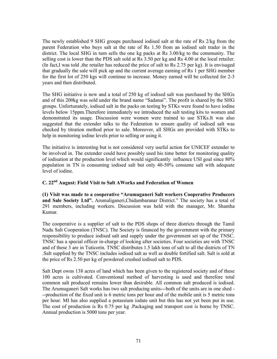The newly established 9 SHG groups purchased iodised salt at the rate of Rs 2/kg from the parent Federation who buys salt at the rate of Rs 1.50 from an iodised salt trader in the district. The local SHG in turn sells the one kg packs at Rs 3.00/kg to the community. The selling cost is lower than the PDS salt sold at Rs 3.50 per kg and Rs 4.00 at the local retailer. (In fact,I was told ,the retailer has reduced the price of salt to Rs 2.75 per kg). It is envisaged that gradually the sale will pick up and the current average earning of Rs 1 per SHG member for the first lot of 250 kgs will continue to increase. Money earned will be collected for 2-3 years and then distributed.

The SHG initiative is new and a total of 250 kg of iodised salt was purchased by the SHGs and of this 200kg was sold under the brand name "Sadanai". The profit is shared by the SHG groups. Unfortunately, iodised salt in the packs on testing by STKs were found to have iodine levels below 15ppm.Therefore immediately we introduced the salt testing kits to women and demonstrated its usage. Discussion were women were trained to use STKs.It was also suggested that the extender talks to the Federation to ensure quality of iodised salt was checked by titration method prior to sale. Moreover, all SHGs are provided with STKs to help in monitoring iodine levels prior to selling or using it.

The initiative is interesting but is not considered very useful action for UNICEF extender to be involved in. The extender could have possibly used his time better for monitoring quality of iodisation at the production level which would significantly influence USI goal since 80% population in TN is consuming iodised salt but only 40-50% consume salt with adequate level of iodine.

# C. 22nd August: Field Visit to Salt AWorks and Federation of Women

(1) Visit was made to a cooperative "Arumuganeri Salt workers Cooperative Producers and Sale Society Ltd". Arumaliganeri,Chidambaranar District." The society has a total of 291 members, including workers. Discussion was held with the manager, Mr. Shantha Kumar.

The cooperative is a supplier of salt to the PDS shops of three districts through the Tamil Nadu Salt Cooperation (TNSC). The Society is financed by the government with the primary responsibility to produce iodised salt and supply under the government set up of the TNSC. TNSC has a special officer in-charge of looking after societies. Four societies are with TNSC and of these 3 are in Tuticorin. TNSC distributes 1.5 lakh tons of salt to all the districts of TN .Salt supplied by the TNSC includes iodised salt as well as double fortified salt. Salt is sold at the price of Rs 2.50 per kg of powdered crushed iodised salt to PDS.

Salt Dept owns 138 acres of land which has been given to the registered society and of these 100 acres is cultivated. Conventional method of harvesting is used and therefore total common salt produced remains lower than desirable. All common salt produced is iodised. The Arumuganeri Salt works has two salt producing units---both of the units are in one shed - --production of the fixed unit is 6 metric tons per hour and of the mobile unit is 5 metric tons per hour. MI has also supplied a potassium iodate unit but this has not yet been put in use. The cost of production is Rs 0.75 per kg .Packaging and transport cost is borne by TNSC. Annual production is 5000 tons per year.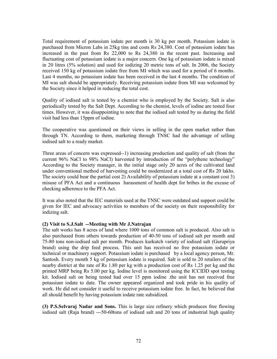Total requirement of potassium iodate per month is 30 kg per month. Potassium iodate is purchased from Micron Labs in 25kg tins and costs Rs 24,380. Cost of potassium iodate has increased in the past from Rs 22,000 to Rs 24,380 in the recent past. Increasing and fluctuating cost of potassium iodate is a major concern. One kg of potassium iodate is mixed in 20 litres (5% solution) and used for iodizing 20 metric tons of salt. In 2006, the Society received 150 kg of potassium iodate free from MI which was used for a period of 6 months. Last 4 months, no potassium iodate has been received in the last 4 months. The condition of MI was salt should be appropriately. Receiving potassium iodate from MI was welcomed by the Society since it helped in reducing the total cost.

Quality of iodised salt is tested by a chemist who is employed by the Society. Salt is also periodically tested by the Salt Dept. According to the chemist, levels of iodine are tested four times. However, it was disappointing to note that the iodised salt tested by us during the field visit had less than 15ppm of iodine.

The cooperative was questioned on their views in selling in the open market rather than through TN. According to them, marketing through TNSC had the advantage of selling iodised salt to a ready market.

Three areas of concern was expressed--1) increasing production and quality of salt (from the current 96% NaCl to 98% NaCl) harvested by introduction of the "polythene technology" According to the Society manager, in the initial stage only 20 acres of the cultivated land under conventional method of harvesting could be modernized at a total cost of Rs 20 lakhs. The society could bear the partial cost 2) Availability of potassium iodate at a constant cost 3) misuse of PFA Act and a continuous harassment of health dept for bribes in the excuse of checking adherence to the PFA Act.

It was also noted that the IEC materials used at the TNSC were outdated and support could be given for IEC and advocacy activities to members of the society on their responsibility for iodizing salt.

#### (2) Visit to S.J.Salt --Meeting with Mr J.Natrajan

The salt works has 8 acres of land where 1000 tons of common salt is produced. Also salt is also purchased from others towards production of 40-50 tons of iodised salt per month and 75-80 tons non-iodised salt per month. Produces kurkutch variety of iodised salt (Gurupriya brand) using the drip feed process. This unit has received no free potassium iodate or technical or machinery support. Potassium iodate is purchased by a local agency person, Mr. Santosh. Every month 5 kg of potassium iodate is required. Salt is sold to 20 retailers of the nearby district at the rate of Rs 1.80 per kg with a production cost of Rs 1.25 per kg and the printed MRP being Rs 5.00 per kg. Iodine level is monitored using the ICCIDD spot testing kit. Iodised salt on being tested had over 15 ppm iodine .the unit has not received free potassium iodate to date. The owner appeared organized and took pride in his quality of work. He did not consider it useful to receive potassium iodate free. In fact, he believed that all should benefit by having potassium iodate rate subsidized.

(3) P.S.Selvaraj Nadar and Sons. This is large size refinery which produces free flowing iodised salt (Raja brand) ---50-60tons of iodised salt and 20 tons of industrial high quality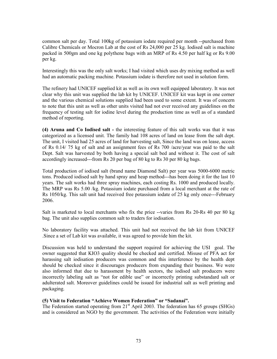common salt per day. Total 100kg of potassium iodate required per month --purchased from Calibre Chemicals or Mocron Lab at the cost of Rs 24,000 per 25 kg. Iodised salt is machine packed in 500gm and one kg polythene bags with an MRP of Rs 4.50 per half kg or Rs 9.00 per kg.

Interestingly this was the only salt works; I had visited which uses dry mixing method as well had an automatic packing machine. Potassium iodate is therefore not used in solution form.

The refinery had UNICEF supplied kit as well as its own well equipped laboratory. It was not clear why this unit was supplied the lab kit by UNICEF. UNICEF kit was kept in one corner and the various chemical solutions supplied had been used to some extent. It was of concern to note that this unit as well as other units visited had not ever received any guidelines on the frequency of testing salt for iodine level during the production time as well as of a standard method of reporting.

(4) Aruna and Co Iodised salt - the interesting feature of this salt works was that it was categorized as a licensed unit. The family had 108 acres of land on lease from the salt dept. The unit, I visited had 25 acres of land for harvesting salt, Since the land was on lease, access of Rs 0.14/ 75 kg of salt and an assignment fees of Rs 700 /acre/year was paid to the salt Dept. Salt was harvested by both having a special salt bed and without it. The cost of salt accordingly increased---from Rs 20 per bag of 80 kg to Rs 30 per 80 kg bags.

Total production of iodised salt (brand name Diamond Salt) per year was 5000-6000 metric tons. Produced iodised salt by hand spray and heap method---has been doing it for the last 10 years. The salt works had three spray machines, each costing Rs. 1000 and produced locally. The MRP was Rs 5.00 /kg. Potassium iodate purchased from a local merchant at the rate of Rs 1050/kg. This salt unit had received free potassium iodate of 25 kg only once---February 2006.

Salt is marketed to local merchants who fix the price --varies from Rs 20-Rs 40 per 80 kg bag. The unit also supplies common salt to traders for iodisation.

No laboratory facility was attached. This unit had not received the lab kit from UNICEF .Since a set of Lab kit was available, it was agreed to provide him the kit.

Discussion was held to understand the support required for achieving the USI goal. The owner suggested that KIO3 quality should be checked and certified. Misuse of PFA act for harassing salt iodisation producers was common and this interference by the health dept should be checked since it discourages producers from expanding their business. We were also informed that due to harassment by health sectors, the iodised salt producers were incorrectly labeling salt as "not for edible use" or incorrectly printing substandard salt or adulterated salt. Moreover guidelines could be issued for industrial salt as well printing and packaging.

## (5) Visit to Federation "Achieve Women Federation" or "Sadanai".

The Federation started operating from 21<sup>st</sup> April 2003. The federation has 65 groups (SHGs) and is considered an NGO by the government. The activities of the Federation were initially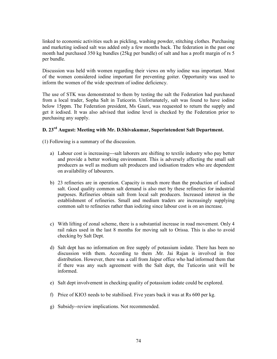linked to economic activities such as pickling, washing powder, stitching clothes. Purchasing and marketing iodised salt was added only a few months back. The federation in the past one month had purchased 350 kg bundles (25kg per bundle) of salt and has a profit margin of rs 5 per bundle.

Discussion was held with women regarding their views on why iodine was important. Most of the women considered iodine important for preventing goiter. Opportunity was used to inform the women of the wide spectrum of iodine deficiency.

The use of STK was demonstrated to them by testing the salt the Federation had purchased from a local trader, Sopha Salt in Tuticorin. Unfortunately, salt was found to have iodine below 15ppm. The Federation president, Ms Gauri, was requested to return the supply and get it iodised. It was also advised that iodine level is checked by the Federation prior to purchasing any supply.

# D. 23rd August: Meeting with Mr. D.Shivakumar, Superintendent Salt Department.

(1) Following is a summary of the discussion.

- a) Labour cost is increasing---salt laborers are shifting to textile industry who pay better and provide a better working environment. This is adversely affecting the small salt producers as well as medium salt producers and iodisation traders who are dependent on availability of labourers.
- b) 23 refineries are in operation. Capacity is much more than the production of iodised salt. Good quality common salt demand is also met by these refineries for industrial purposes. Refineries obtain salt from local salt producers. Increased interest in the establishment of refineries. Small and medium traders are increasingly supplying common salt to refineries rather than iodizing since labour cost is on an increase.
- c) With lifting of zonal scheme, there is a substantial increase in road movement. Only 4 rail rakes used in the last 8 months for moving salt to Orissa. This is also to avoid checking by Salt Dept.
- d) Salt dept has no information on free supply of potassium iodate. There has been no discussion with them. According to them .Mr. Jai Rajan is involved in free distribution. However, there was a call from Jaipur office who had informed them that if there was any such agreement with the Salt dept, the Tuticorin unit will be informed.
- e) Salt dept involvement in checking quality of potassium iodate could be explored.
- f) Price of KIO3 needs to be stabilised. Five years back it was at Rs 600 per kg.
- g) Subsidy--review implications. Not recommended.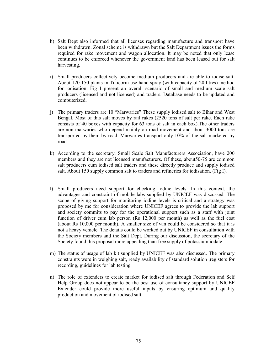- h) Salt Dept also informed that all licenses regarding manufacture and transport have been withdrawn. Zonal scheme is withdrawn but the Salt Department issues the forms required for rake movement and wagon allocation. It may be noted that only lease continues to be enforced whenever the government land has been leased out for salt harvesting.
- i) Small producers collectively become medium producers and are able to iodise salt. About 120-150 plants in Tuticorin use hand spray (with capacity of 20 litres) method for iodisation. Fig I present an overall scenario of small and medium scale salt producers (licensed and not licensed) and traders. Database needs to be updated and computerized.
- j) The primary traders are 10 "Marwaries" These supply iodised salt to Bihar and West Bengal. Most of this salt moves by rail rakes (2520 tons of salt per rake. Each rake consists of 40 boxes with capacity for 63 tons of salt in each box).The other traders are non-marwaries who depend mainly on road movement and about 3000 tons are transported by them by road. Marwaries transport only 10% of the salt marketed by road.
- k) According to the secretary, Small Scale Salt Manufacturers Association, have 200 members and they are not licensed manufacturers. Of these, about50-75 are common salt producers cum iodised salt traders and these directly produce and supply iodised salt. About 150 supply common salt to traders and refineries for iodisation. (Fig I).
- l) Small producers need support for checking iodine levels. In this context, the advantages and constraint of mobile labs supplied by UNICEF was discussed. The scope of giving support for monitoring iodine levels is critical and a strategy was proposed by me for consideration where UNICEF agrees to provide the lab support and society commits to pay for the operational support such as a staff with joint function of driver cum lab person (Rs 12,000 per month) as well as the fuel cost (about Rs 10,000 per month). A smaller size of van could be considered so that it is not a heavy vehicle. The details could be worked out by UNICEF in consultation with the Society members and the Salt Dept. During our discussion, the secretary of the Society found this proposal more appealing than free supply of potassium iodate.
- m) The status of usage of lab kit supplied by UNICEF was also discussed. The primary constraints were in weighing salt, ready availability of standard solution ,registers for recording, guidelines for lab testing
- n) The role of extenders to create market for iodised salt through Federation and Self Help Group does not appear to be the best use of consultancy support by UNICEF Extender could provide more useful inputs by ensuring optimum and quality production and movement of iodised salt.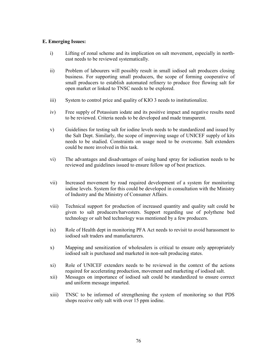## E. Emerging Issues:

- i) Lifting of zonal scheme and its implication on salt movement, especially in northeast needs to be reviewed systematically.
- ii) Problem of labourers will possibly result in small iodised salt producers closing business. For supporting small producers, the scope of forming cooperative of small producers to establish automated refinery to produce free flowing salt for open market or linked to TNSC needs to be explored.
- iii) System to control price and quality of KIO 3 needs to institutionalize.
- iv) Free supply of Potassium iodate and its positive impact and negative results need to be reviewed. Criteria needs to be developed and made transparent.
- v) Guidelines for testing salt for iodine levels needs to be standardized and issued by the Salt Dept. Similarly, the scope of improving usage of UNICEF supply of kits needs to be studied. Constraints on usage need to be overcome. Salt extenders could be more involved in this task.
- vi) The advantages and disadvantages of using hand spray for iodisation needs to be reviewed and guidelines issued to ensure follow up of best practices.
- vii) Increased movement by road required development of a system for monitoring iodine levels. System for this could be developed in consultation with the Ministry of Industry and the Ministry of Consumer Affairs.
- viii) Technical support for production of increased quantity and quality salt could be given to salt producers/harvesters. Support regarding use of polythene bed technology or salt bed technology was mentioned by a few producers.
- ix) Role of Health dept in monitoring PFA Act needs to revisit to avoid harassment to iodised salt traders and manufacturers.
- x) Mapping and sensitization of wholesalers is critical to ensure only appropriately iodised salt is purchased and marketed in non-salt producing states.
- xi) Role of UNICEF extenders needs to be reviewed in the context of the actions required for accelerating production, movement and marketing of iodised salt.
- xii) Messages on importance of iodised salt could be standardized to ensure correct and uniform message imparted.
- xiii) TNSC to be informed of strengthening the system of monitoring so that PDS shops receive only salt with over 15 ppm iodine.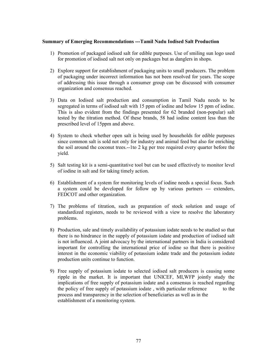#### Summary of Emerging Recommendations ---Tamil Nadu Iodised Salt Production

- 1) Promotion of packaged iodised salt for edible purposes. Use of smiling sun logo used for promotion of iodised salt not only on packages but as danglers in shops.
- 2) Explore support for establishment of packaging units to small producers. The problem of packaging under incorrect information has not been resolved for years. The scope of addressing this issue through a consumer group can be discussed with consumer organization and consensus reached.
- 3) Data on Iodised salt production and consumption in Tamil Nadu needs to be segregated in terms of iodised salt with 15 ppm of iodine and below 15 ppm of iodine. This is also evident from the findings presented for 62 branded (non-popular) salt tested by the titration method. Of these brands, 58 had iodine content less than the prescribed level of 15ppm and above.
- 4) System to check whether open salt is being used by households for edible purposes since common salt is sold not only for industry and animal feed but also for enriching the soil around the coconut trees.--1to 2 kg per tree required every quarter before the yield.
- 5) Salt testing kit is a semi-quantitative tool but can be used effectively to monitor level of iodine in salt and for taking timely action.
- 6) Establishment of a system for monitoring levels of iodine needs a special focus. Such a system could be developed for follow up by various partners --- extenders, FEDCOT and other organization.
- 7) The problems of titration, such as preparation of stock solution and usage of standardized registers, needs to be reviewed with a view to resolve the laboratory problems.
- 8) Production, sale and timely availability of potassium iodate needs to be studied so that there is no hindrance in the supply of potassium iodate and production of iodised salt is not influenced. A joint advocacy by the international partners in India is considered important for controlling the international price of iodine so that there is positive interest in the economic viability of potassium iodate trade and the potassium iodate production units continue to function.
- 9) Free supply of potassium iodate to selected iodised salt producers is causing some ripple in the market. It is important that UNICEF, MI,WFP jointly study the implications of free supply of potassium iodate and a consensus is reached regarding the policy of free supply of potassium iodate, with particular reference to the process and transparency in the selection of beneficiaries as well as in the establishment of a monitoring system.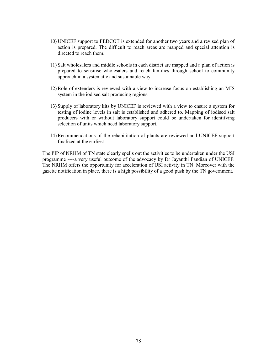- 10) UNICEF support to FEDCOT is extended for another two years and a revised plan of action is prepared. The difficult to reach areas are mapped and special attention is directed to reach them.
- 11) Salt wholesalers and middle schools in each district are mapped and a plan of action is prepared to sensitise wholesalers and reach families through school to community approach in a systematic and sustainable way.
- 12) Role of extenders is reviewed with a view to increase focus on establishing an MIS system in the iodised salt producing regions.
- 13) Supply of laboratory kits by UNICEF is reviewed with a view to ensure a system for testing of iodine levels in salt is established and adhered to. Mapping of iodised salt producers with or without laboratory support could be undertaken for identifying selection of units which need laboratory support.
- 14) Recommendations of the rehabilitation of plants are reviewed and UNICEF support finalized at the earliest.

The PIP of NRHM of TN state clearly spells out the activities to be undertaken under the USI programme ----a very useful outcome of the advocacy by Dr Jayanthi Pandian of UNICEF. The NRHM offers the opportunity for acceleration of USI activity in TN. Moreover with the gazette notification in place, there is a high possibility of a good push by the TN government.